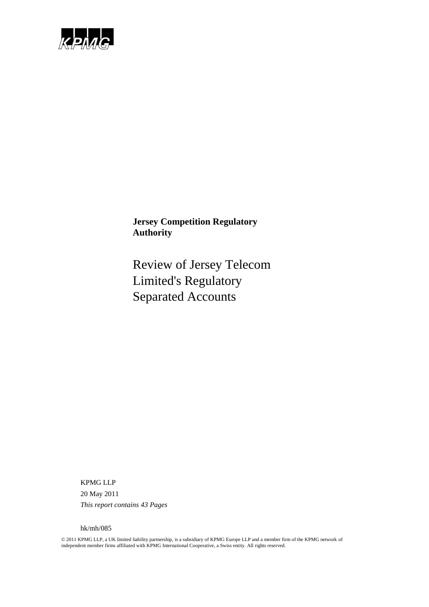

Review of Jersey Telecom Limited's Regulatory Separated Accounts

KPMG LLP 20 May 2011 *This report contains 43 Pages*

hk/mh/085

© 2011 KPMG LLP, a UK limited liability partnership, is a subsidiary of KPMG Europe LLP and a member firm of the KPMG network of independent member firms affiliated with KPMG International Cooperative, a Swiss entity. All rights reserved.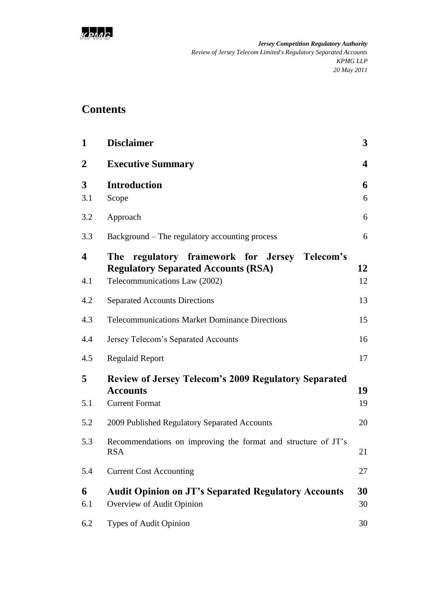

# **Contents**

| $\mathbf{1}$            | <b>Disclaimer</b>                                                                                                               | $\mathbf{3}$ |
|-------------------------|---------------------------------------------------------------------------------------------------------------------------------|--------------|
| $\boldsymbol{2}$        | <b>Executive Summary</b>                                                                                                        | 4            |
| 3<br>3.1                | <b>Introduction</b><br>Scope                                                                                                    | 6<br>6       |
| 3.2                     | Approach                                                                                                                        | 6            |
| 3.3                     | Background – The regulatory accounting process                                                                                  | 6            |
| $\boldsymbol{4}$<br>4.1 | regulatory framework for Jersey Telecom's<br>The<br><b>Regulatory Separated Accounts (RSA)</b><br>Telecommunications Law (2002) | 12<br>12     |
| 4.2                     | <b>Separated Accounts Directions</b>                                                                                            | 13           |
| 4.3                     | <b>Telecommunications Market Dominance Directions</b>                                                                           | 15           |
| 4.4                     | Jersey Telecom's Separated Accounts                                                                                             | 16           |
| 4.5                     | <b>Regulaid Report</b>                                                                                                          | 17           |
| 5<br>5.1                | <b>Review of Jersey Telecom's 2009 Regulatory Separated</b><br><b>Accounts</b><br><b>Current Format</b>                         | 19<br>19     |
| 5.2                     | 2009 Published Regulatory Separated Accounts                                                                                    | 20           |
| 5.3                     | Recommendations on improving the format and structure of JT's<br><b>RSA</b>                                                     | 21           |
| 5.4                     | <b>Current Cost Accounting</b>                                                                                                  | 27           |
| 6<br>6.1                | <b>Audit Opinion on JT's Separated Regulatory Accounts</b><br>Overview of Audit Opinion                                         | 30<br>30     |
| 6.2                     | Types of Audit Opinion                                                                                                          | 30           |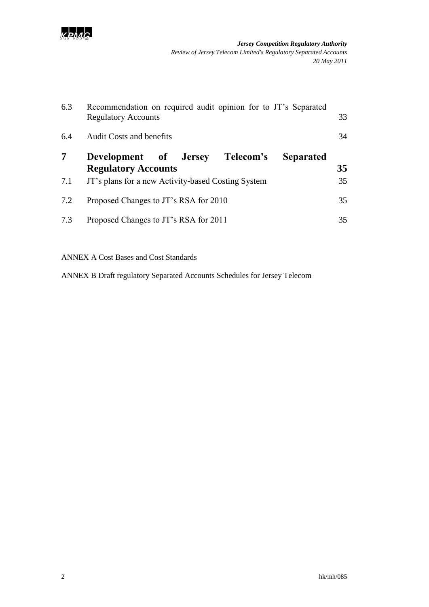

| 6.3 | Recommendation on required audit opinion for to JT's Separated<br>33<br><b>Regulatory Accounts</b> |    |  |  |  |  |  |  |  |
|-----|----------------------------------------------------------------------------------------------------|----|--|--|--|--|--|--|--|
| 6.4 | <b>Audit Costs and benefits</b>                                                                    | 34 |  |  |  |  |  |  |  |
| 7   | Telecom's<br>Development of Jersey<br><b>Separated</b><br><b>Regulatory Accounts</b>               | 35 |  |  |  |  |  |  |  |
| 7.1 | JT's plans for a new Activity-based Costing System                                                 | 35 |  |  |  |  |  |  |  |
| 7.2 | Proposed Changes to JT's RSA for 2010                                                              | 35 |  |  |  |  |  |  |  |
| 7.3 | Proposed Changes to JT's RSA for 2011                                                              | 35 |  |  |  |  |  |  |  |

ANNEX A Cost Bases and Cost Standards

ANNEX B Draft regulatory Separated Accounts Schedules for Jersey Telecom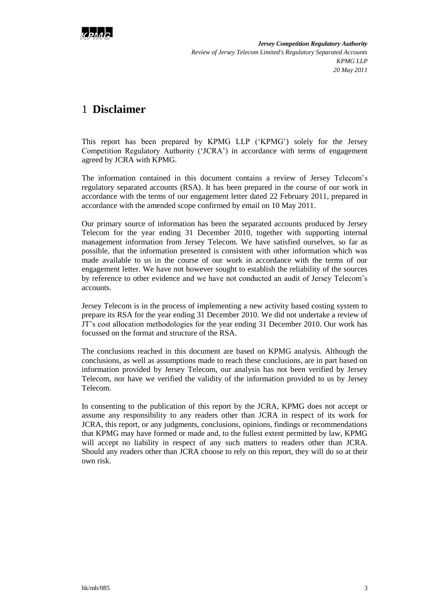

# <span id="page-4-0"></span>1 **Disclaimer**

This report has been prepared by KPMG LLP ("KPMG") solely for the Jersey Competition Regulatory Authority ("JCRA") in accordance with terms of engagement agreed by JCRA with KPMG.

The information contained in this document contains a review of Jersey Telecom"s regulatory separated accounts (RSA). It has been prepared in the course of our work in accordance with the terms of our engagement letter dated 22 February 2011, prepared in accordance with the amended scope confirmed by email on 10 May 2011.

Our primary source of information has been the separated accounts produced by Jersey Telecom for the year ending 31 December 2010, together with supporting internal management information from Jersey Telecom. We have satisfied ourselves, so far as possible, that the information presented is consistent with other information which was made available to us in the course of our work in accordance with the terms of our engagement letter. We have not however sought to establish the reliability of the sources by reference to other evidence and we have not conducted an audit of Jersey Telecom"s accounts.

Jersey Telecom is in the process of implementing a new activity based costing system to prepare its RSA for the year ending 31 December 2010. We did not undertake a review of JT"s cost allocation methodologies for the year ending 31 December 2010. Our work has focussed on the format and structure of the RSA.

The conclusions reached in this document are based on KPMG analysis. Although the conclusions, as well as assumptions made to reach these conclusions, are in part based on information provided by Jersey Telecom, our analysis has not been verified by Jersey Telecom, nor have we verified the validity of the information provided to us by Jersey Telecom.

In consenting to the publication of this report by the JCRA, KPMG does not accept or assume any responsibility to any readers other than JCRA in respect of its work for JCRA, this report, or any judgments, conclusions, opinions, findings or recommendations that KPMG may have formed or made and, to the fullest extent permitted by law, KPMG will accept no liability in respect of any such matters to readers other than JCRA. Should any readers other than JCRA choose to rely on this report, they will do so at their own risk.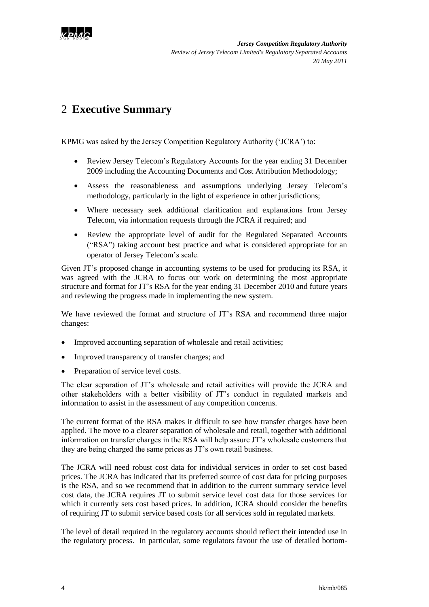

# <span id="page-5-0"></span>2 **Executive Summary**

KPMG was asked by the Jersey Competition Regulatory Authority ('JCRA') to:

- Review Jersey Telecom"s Regulatory Accounts for the year ending 31 December 2009 including the Accounting Documents and Cost Attribution Methodology;
- Assess the reasonableness and assumptions underlying Jersey Telecom"s methodology, particularly in the light of experience in other jurisdictions;
- Where necessary seek additional clarification and explanations from Jersey Telecom, via information requests through the JCRA if required; and
- Review the appropriate level of audit for the Regulated Separated Accounts ("RSA") taking account best practice and what is considered appropriate for an operator of Jersey Telecom"s scale.

Given JT"s proposed change in accounting systems to be used for producing its RSA, it was agreed with the JCRA to focus our work on determining the most appropriate structure and format for JT"s RSA for the year ending 31 December 2010 and future years and reviewing the progress made in implementing the new system.

We have reviewed the format and structure of JT's RSA and recommend three major changes:

- Improved accounting separation of wholesale and retail activities;
- Improved transparency of transfer charges; and
- Preparation of service level costs.

The clear separation of JT"s wholesale and retail activities will provide the JCRA and other stakeholders with a better visibility of JT"s conduct in regulated markets and information to assist in the assessment of any competition concerns.

The current format of the RSA makes it difficult to see how transfer charges have been applied. The move to a clearer separation of wholesale and retail, together with additional information on transfer charges in the RSA will help assure JT"s wholesale customers that they are being charged the same prices as JT"s own retail business.

The JCRA will need robust cost data for individual services in order to set cost based prices. The JCRA has indicated that its preferred source of cost data for pricing purposes is the RSA, and so we recommend that in addition to the current summary service level cost data, the JCRA requires JT to submit service level cost data for those services for which it currently sets cost based prices. In addition, JCRA should consider the benefits of requiring JT to submit service based costs for all services sold in regulated markets.

The level of detail required in the regulatory accounts should reflect their intended use in the regulatory process. In particular, some regulators favour the use of detailed bottom-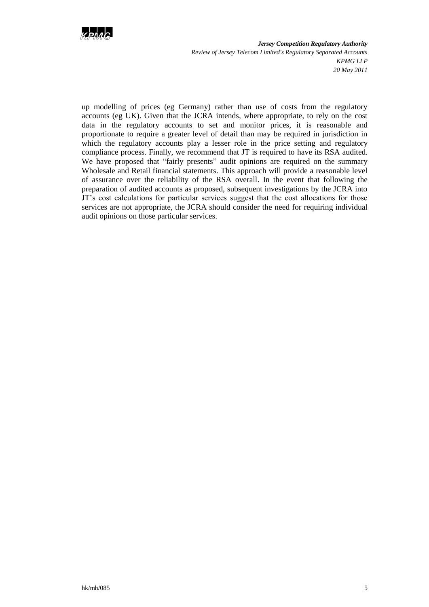

up modelling of prices (eg Germany) rather than use of costs from the regulatory accounts (eg UK). Given that the JCRA intends, where appropriate, to rely on the cost data in the regulatory accounts to set and monitor prices, it is reasonable and proportionate to require a greater level of detail than may be required in jurisdiction in which the regulatory accounts play a lesser role in the price setting and regulatory compliance process. Finally, we recommend that JT is required to have its RSA audited. We have proposed that "fairly presents" audit opinions are required on the summary Wholesale and Retail financial statements. This approach will provide a reasonable level of assurance over the reliability of the RSA overall. In the event that following the preparation of audited accounts as proposed, subsequent investigations by the JCRA into JT"s cost calculations for particular services suggest that the cost allocations for those services are not appropriate, the JCRA should consider the need for requiring individual audit opinions on those particular services.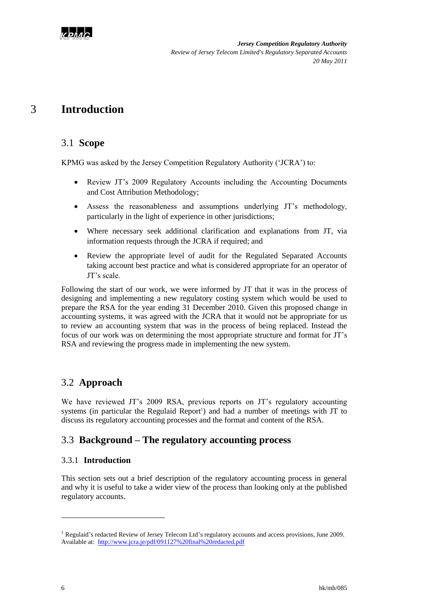

# <span id="page-7-0"></span>3 **Introduction**

## <span id="page-7-1"></span>3.1 **Scope**

KPMG was asked by the Jersey Competition Regulatory Authority ('JCRA') to:

- Review JT"s 2009 Regulatory Accounts including the Accounting Documents and Cost Attribution Methodology;
- Assess the reasonableness and assumptions underlying JT"s methodology, particularly in the light of experience in other jurisdictions;
- Where necessary seek additional clarification and explanations from JT, via information requests through the JCRA if required; and
- Review the appropriate level of audit for the Regulated Separated Accounts taking account best practice and what is considered appropriate for an operator of JT"s scale.

Following the start of our work, we were informed by JT that it was in the process of designing and implementing a new regulatory costing system which would be used to prepare the RSA for the year ending 31 December 2010. Given this proposed change in accounting systems, it was agreed with the JCRA that it would not be appropriate for us to review an accounting system that was in the process of being replaced. Instead the focus of our work was on determining the most appropriate structure and format for JT"s RSA and reviewing the progress made in implementing the new system.

## <span id="page-7-2"></span>3.2 **Approach**

We have reviewed JT's 2009 RSA, previous reports on JT's regulatory accounting systems (in particular the Regulaid Report<sup>1</sup>) and had a number of meetings with JT to discuss its regulatory accounting processes and the format and content of the RSA.

## <span id="page-7-3"></span>3.3 **Background – The regulatory accounting process**

### 3.3.1 **Introduction**

This section sets out a brief description of the regulatory accounting process in general and why it is useful to take a wider view of the process than looking only at the published regulatory accounts.

1

<sup>&</sup>lt;sup>1</sup> Regulaid's redacted Review of Jersey Telecom Ltd's regulatory accounts and access provisions, June 2009. Available at: <http://www.jcra.je/pdf/091127%20final%20redacted.pdf>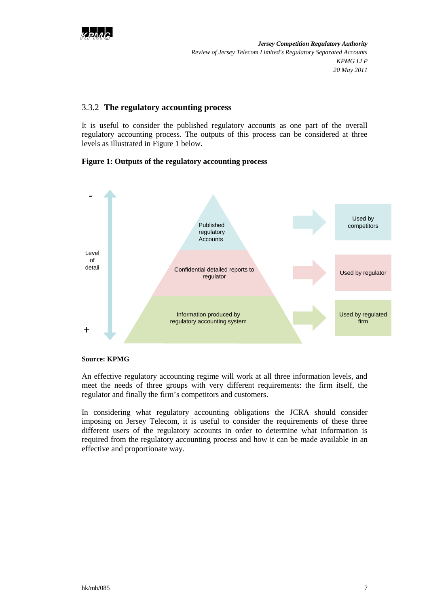

#### 3.3.2 **The regulatory accounting process**

It is useful to consider the published regulatory accounts as one part of the overall regulatory accounting process. The outputs of this process can be considered at three levels as illustrated in [Figure 1](#page-8-0) below.

### <span id="page-8-0"></span>**Figure 1: Outputs of the regulatory accounting process**



#### **Source: KPMG**

An effective regulatory accounting regime will work at all three information levels, and meet the needs of three groups with very different requirements: the firm itself, the regulator and finally the firm"s competitors and customers.

In considering what regulatory accounting obligations the JCRA should consider imposing on Jersey Telecom, it is useful to consider the requirements of these three different users of the regulatory accounts in order to determine what information is required from the regulatory accounting process and how it can be made available in an effective and proportionate way.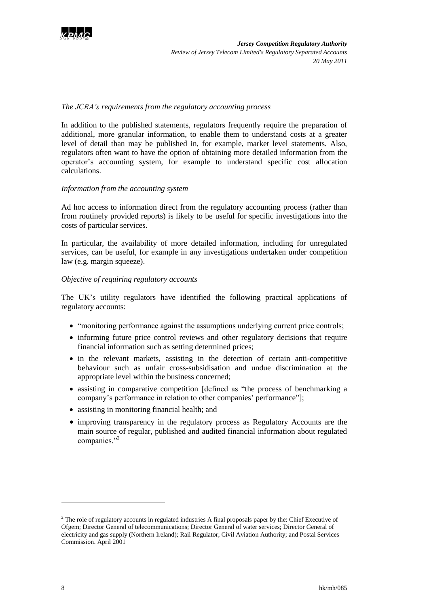

#### *The JCRA's requirements from the regulatory accounting process*

In addition to the published statements, regulators frequently require the preparation of additional, more granular information, to enable them to understand costs at a greater level of detail than may be published in, for example, market level statements. Also, regulators often want to have the option of obtaining more detailed information from the operator"s accounting system, for example to understand specific cost allocation calculations.

#### *Information from the accounting system*

Ad hoc access to information direct from the regulatory accounting process (rather than from routinely provided reports) is likely to be useful for specific investigations into the costs of particular services.

In particular, the availability of more detailed information, including for unregulated services, can be useful, for example in any investigations undertaken under competition law (e.g. margin squeeze).

#### *Objective of requiring regulatory accounts*

The UK"s utility regulators have identified the following practical applications of regulatory accounts:

- "monitoring performance against the assumptions underlying current price controls;
- informing future price control reviews and other regulatory decisions that require financial information such as setting determined prices;
- in the relevant markets, assisting in the detection of certain anti-competitive behaviour such as unfair cross-subsidisation and undue discrimination at the appropriate level within the business concerned;
- assisting in comparative competition [defined as "the process of benchmarking a company's performance in relation to other companies' performance"];
- assisting in monitoring financial health; and
- improving transparency in the regulatory process as Regulatory Accounts are the main source of regular, published and audited financial information about regulated companies."<sup>2</sup>

-

<sup>&</sup>lt;sup>2</sup> The role of regulatory accounts in regulated industries A final proposals paper by the: Chief Executive of Ofgem; Director General of telecommunications; Director General of water services; Director General of electricity and gas supply (Northern Ireland); Rail Regulator; Civil Aviation Authority; and Postal Services Commission. April 2001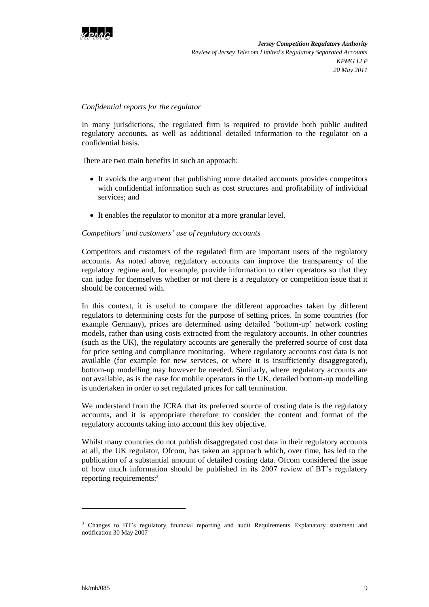

#### *Confidential reports for the regulator*

In many jurisdictions, the regulated firm is required to provide both public audited regulatory accounts, as well as additional detailed information to the regulator on a confidential basis.

There are two main benefits in such an approach:

- It avoids the argument that publishing more detailed accounts provides competitors with confidential information such as cost structures and profitability of individual services; and
- It enables the regulator to monitor at a more granular level.

#### *Competitors' and customers' use of regulatory accounts*

Competitors and customers of the regulated firm are important users of the regulatory accounts. As noted above, regulatory accounts can improve the transparency of the regulatory regime and, for example, provide information to other operators so that they can judge for themselves whether or not there is a regulatory or competition issue that it should be concerned with.

In this context, it is useful to compare the different approaches taken by different regulators to determining costs for the purpose of setting prices. In some countries (for example Germany), prices are determined using detailed 'bottom-up' network costing models, rather than using costs extracted from the regulatory accounts. In other countries (such as the UK), the regulatory accounts are generally the preferred source of cost data for price setting and compliance monitoring. Where regulatory accounts cost data is not available (for example for new services, or where it is insufficiently disaggregated), bottom-up modelling may however be needed. Similarly, where regulatory accounts are not available, as is the case for mobile operators in the UK, detailed bottom-up modelling is undertaken in order to set regulated prices for call termination.

We understand from the JCRA that its preferred source of costing data is the regulatory accounts, and it is appropriate therefore to consider the content and format of the regulatory accounts taking into account this key objective.

Whilst many countries do not publish disaggregated cost data in their regulatory accounts at all, the UK regulator, Ofcom, has taken an approach which, over time, has led to the publication of a substantial amount of detailed costing data. Ofcom considered the issue of how much information should be published in its 2007 review of BT"s regulatory reporting requirements:<sup>3</sup>

l

<sup>&</sup>lt;sup>3</sup> Changes to BT's regulatory financial reporting and audit Requirements Explanatory statement and notification 30 May 2007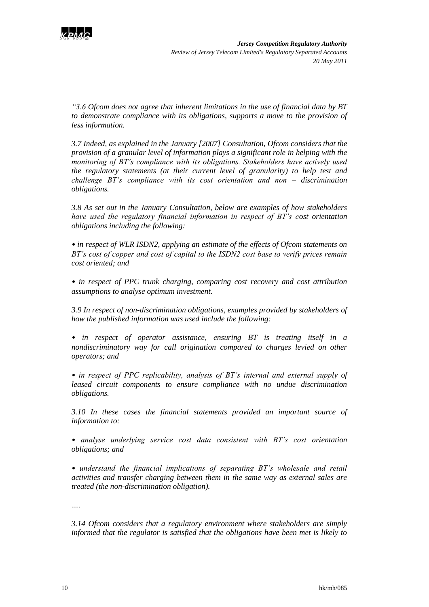

*"3.6 Ofcom does not agree that inherent limitations in the use of financial data by BT to demonstrate compliance with its obligations, supports a move to the provision of less information.*

*3.7 Indeed, as explained in the January [2007] Consultation, Ofcom considers that the provision of a granular level of information plays a significant role in helping with the monitoring of BT's compliance with its obligations. Stakeholders have actively used the regulatory statements (at their current level of granularity) to help test and challenge BT's compliance with its cost orientation and non – discrimination obligations.*

*3.8 As set out in the January Consultation, below are examples of how stakeholders have used the regulatory financial information in respect of BT's cost orientation obligations including the following:*

*• in respect of WLR ISDN2, applying an estimate of the effects of Ofcom statements on BT's cost of copper and cost of capital to the ISDN2 cost base to verify prices remain cost oriented; and*

*• in respect of PPC trunk charging, comparing cost recovery and cost attribution assumptions to analyse optimum investment.*

*3.9 In respect of non-discrimination obligations, examples provided by stakeholders of how the published information was used include the following:*

*• in respect of operator assistance, ensuring BT is treating itself in a nondiscriminatory way for call origination compared to charges levied on other operators; and*

*• in respect of PPC replicability, analysis of BT's internal and external supply of leased circuit components to ensure compliance with no undue discrimination obligations.*

*3.10 In these cases the financial statements provided an important source of information to:*

*• analyse underlying service cost data consistent with BT's cost orientation obligations; and*

*• understand the financial implications of separating BT's wholesale and retail activities and transfer charging between them in the same way as external sales are treated (the non-discrimination obligation).*

*….*

*3.14 Ofcom considers that a regulatory environment where stakeholders are simply informed that the regulator is satisfied that the obligations have been met is likely to*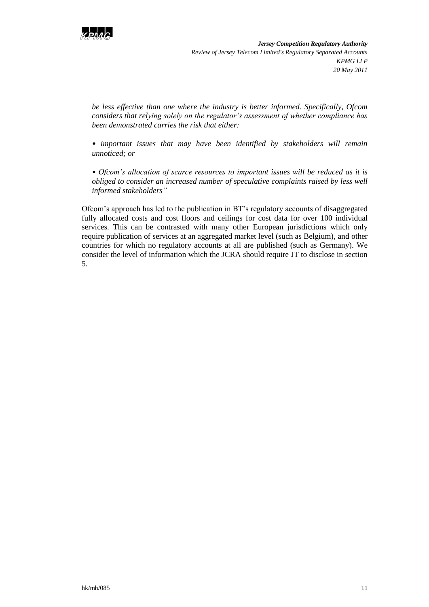

*be less effective than one where the industry is better informed. Specifically, Ofcom considers that relying solely on the regulator's assessment of whether compliance has been demonstrated carries the risk that either:*

*• important issues that may have been identified by stakeholders will remain unnoticed; or*

*• Ofcom's allocation of scarce resources to important issues will be reduced as it is obliged to consider an increased number of speculative complaints raised by less well informed stakeholders"*

Ofcom"s approach has led to the publication in BT"s regulatory accounts of disaggregated fully allocated costs and cost floors and ceilings for cost data for over 100 individual services. This can be contrasted with many other European jurisdictions which only require publication of services at an aggregated market level (such as Belgium), and other countries for which no regulatory accounts at all are published (such as Germany). We consider the level of information which the JCRA should require JT to disclose in section 5.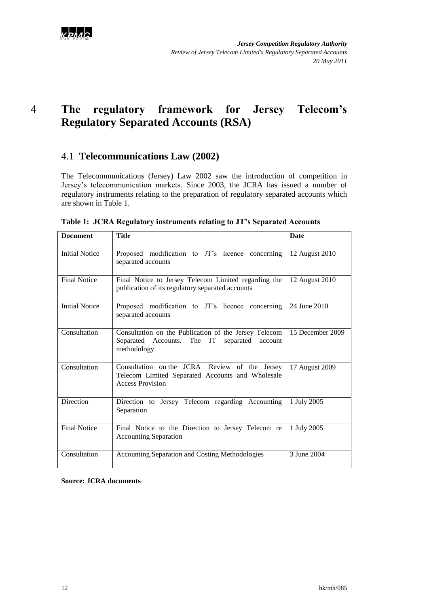

# <span id="page-13-0"></span>4 **The regulatory framework for Jersey Telecom's Regulatory Separated Accounts (RSA)**

## <span id="page-13-1"></span>4.1 **Telecommunications Law (2002)**

The Telecommunications (Jersey) Law 2002 saw the introduction of competition in Jersey"s telecommunication markets. Since 2003, the JCRA has issued a number of regulatory instruments relating to the preparation of regulatory separated accounts which are shown in Table 1.

| <b>Document</b>       | <b>Title</b>                                                                                                                 | <b>Date</b>      |
|-----------------------|------------------------------------------------------------------------------------------------------------------------------|------------------|
| <b>Initial Notice</b> | Proposed modification to JT's licence concerning<br>separated accounts                                                       | 12 August 2010   |
| <b>Final Notice</b>   | Final Notice to Jersey Telecom Limited regarding the<br>publication of its regulatory separated accounts                     | 12 August 2010   |
| <b>Initial Notice</b> | Proposed modification to JT's licence concerning<br>separated accounts                                                       | 24 June 2010     |
| Consultation          | Consultation on the Publication of the Jersey Telecom<br>Separated Accounts. The<br>JT separated<br>account<br>methodology   | 15 December 2009 |
| Consultation          | Consultation on the JCRA Review of the Jersey<br>Telecom Limited Separated Accounts and Wholesale<br><b>Access Provision</b> | 17 August 2009   |
| Direction             | Direction to Jersey Telecom regarding Accounting<br>Separation                                                               | 1 July 2005      |
| <b>Final Notice</b>   | Final Notice to the Direction to Jersey Telecom re<br><b>Accounting Separation</b>                                           | 1 July 2005      |
| Consultation          | Accounting Separation and Costing Methodologies                                                                              | 3 June 2004      |

|  | Table 1: JCRA Regulatory instruments relating to JT's Separated Accounts |  |  |
|--|--------------------------------------------------------------------------|--|--|
|  |                                                                          |  |  |

**Source: JCRA documents**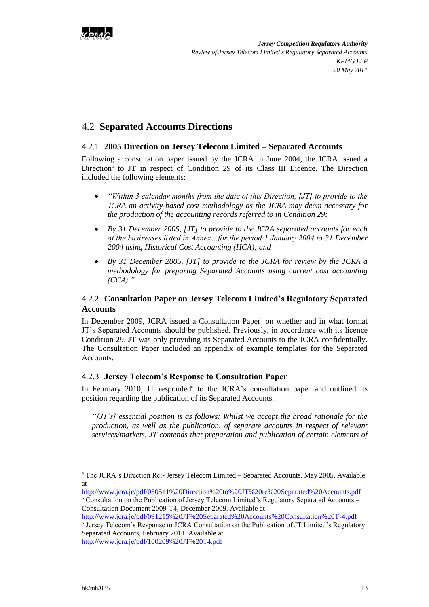

## <span id="page-14-0"></span>4.2 **Separated Accounts Directions**

### 4.2.1 **2005 Direction on Jersey Telecom Limited – Separated Accounts**

Following a consultation paper issued by the JCRA in June 2004, the JCRA issued a Direction<sup>4</sup> to JT in respect of Condition 29 of its Class III Licence. The Direction included the following elements:

- *"Within 3 calendar months from the date of this Direction, [JT] to provide to the JCRA an activity-based cost methodology as the JCRA may deem necessary for the production of the accounting records referred to in Condition 29;*
- *By 31 December 2005, [JT] to provide to the JCRA separated accounts for each of the businesses listed in Annex…for the period 1 January 2004 to 31 December 2004 using Historical Cost Accounting (HCA); and*
- *By 31 December 2005, [JT] to provide to the JCRA for review by the JCRA a methodology for preparing Separated Accounts using current cost accounting (CCA)."*

### 4.2.2 **Consultation Paper on Jersey Telecom Limited's Regulatory Separated Accounts**

In December 2009, JCRA issued a Consultation Paper<sup>5</sup> on whether and in what format JT"s Separated Accounts should be published. Previously, in accordance with its licence Condition 29, JT was only providing its Separated Accounts to the JCRA confidentially. The Consultation Paper included an appendix of example templates for the Separated Accounts.

### 4.2.3 **Jersey Telecom's Response to Consultation Paper**

In February 2010, JT responded<sup>6</sup> to the JCRA's consultation paper and outlined its position regarding the publication of its Separated Accounts.

*"[JT's] essential position is as follows: Whilst we accept the broad rationale for the production, as well as the publication, of separate accounts in respect of relevant services/markets, JT contends that preparation and publication of certain elements of* 

<http://www.jcra.je/pdf/091215%20JT%20Separated%20Accounts%20Consultation%20T-4.pdf> 6 Jersey Telecom"s Response to JCRA Consultation on the Publication of JT Limited"s Regulatory Separated Accounts, February 2011. Available at <http://www.jcra.je/pdf/100209%20JT%20T4.pdf>

l

<sup>4</sup> The JCRA"s Direction Re:- Jersey Telecom Limited – Separated Accounts, May 2005. Available at

<http://www.jcra.je/pdf/050511%20Direction%20to%20JT%20re%20Separated%20Accounts.pdf> <sup>5</sup> Consultation on the Publication of Jersey Telecom Limited's Regulatory Separated Accounts –

Consultation Document 2009-T4, December 2009. Available at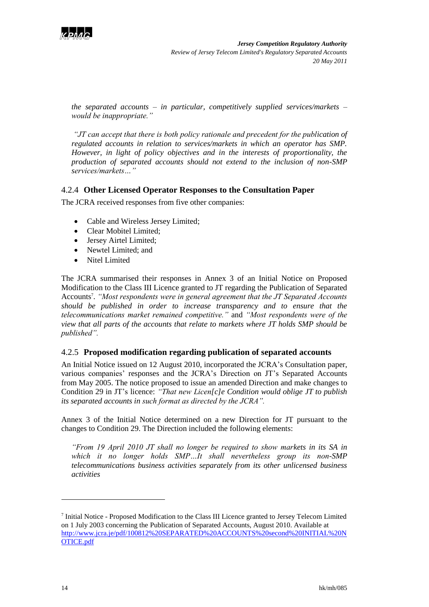

*the separated accounts – in particular, competitively supplied services/markets – would be inappropriate."*

*"JT can accept that there is both policy rationale and precedent for the publication of regulated accounts in relation to services/markets in which an operator has SMP. However, in light of policy objectives and in the interests of proportionality, the production of separated accounts should not extend to the inclusion of non-SMP services/markets…"*

### 4.2.4 **Other Licensed Operator Responses to the Consultation Paper**

The JCRA received responses from five other companies:

- Cable and Wireless Jersey Limited;
- Clear Mobitel Limited;
- Jersey Airtel Limited;
- Newtel Limited; and
- Nitel Limited

The JCRA summarised their responses in Annex 3 of an Initial Notice on Proposed Modification to the Class III Licence granted to JT regarding the Publication of Separated Accounts<sup>7</sup>. "Most respondents were in general agreement that the JT Separated Accounts *should be published in order to increase transparency and to ensure that the telecommunications market remained competitive."* and *"Most respondents were of the view that all parts of the accounts that relate to markets where JT holds SMP should be published".*

#### 4.2.5 **Proposed modification regarding publication of separated accounts**

An Initial Notice issued on 12 August 2010, incorporated the JCRA"s Consultation paper, various companies' responses and the JCRA's Direction on JT's Separated Accounts from May 2005. The notice proposed to issue an amended Direction and make changes to Condition 29 in JT"s licence: *"That new Licen[c]e Condition would oblige JT to publish its separated accounts in such format as directed by the JCRA".*

Annex 3 of the Initial Notice determined on a new Direction for JT pursuant to the changes to Condition 29. The Direction included the following elements:

*"From 19 April 2010 JT shall no longer be required to show markets in its SA in which it no longer holds SMP…It shall nevertheless group its non-SMP telecommunications business activities separately from its other unlicensed business activities*

1

<sup>&</sup>lt;sup>7</sup> Initial Notice - Proposed Modification to the Class III Licence granted to Jersey Telecom Limited on 1 July 2003 concerning the Publication of Separated Accounts, August 2010. Available at [http://www.jcra.je/pdf/100812%20SEPARATED%20ACCOUNTS%20second%20INITIAL%20N](http://www.jcra.je/pdf/100812%20SEPARATED%20ACCOUNTS%20second%20INITIAL%20NOTICE.pdf) [OTICE.pdf](http://www.jcra.je/pdf/100812%20SEPARATED%20ACCOUNTS%20second%20INITIAL%20NOTICE.pdf)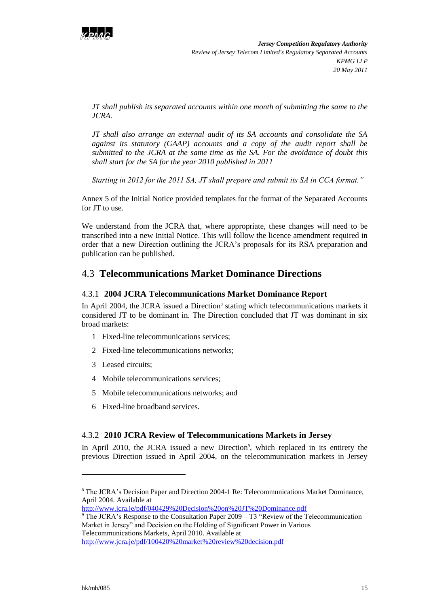

*JT shall publish its separated accounts within one month of submitting the same to the JCRA.*

*JT shall also arrange an external audit of its SA accounts and consolidate the SA against its statutory (GAAP) accounts and a copy of the audit report shall be submitted to the JCRA at the same time as the SA. For the avoidance of doubt this shall start for the SA for the year 2010 published in 2011*

*Starting in 2012 for the 2011 SA, JT shall prepare and submit its SA in CCA format."*

Annex 5 of the Initial Notice provided templates for the format of the Separated Accounts for JT to use.

We understand from the JCRA that, where appropriate, these changes will need to be transcribed into a new Initial Notice. This will follow the licence amendment required in order that a new Direction outlining the JCRA"s proposals for its RSA preparation and publication can be published.

## <span id="page-16-0"></span>4.3 **Telecommunications Market Dominance Directions**

#### 4.3.1 **2004 JCRA Telecommunications Market Dominance Report**

In April 2004, the JCRA issued a Direction<sup>8</sup> stating which telecommunications markets it considered JT to be dominant in. The Direction concluded that JT was dominant in six broad markets:

- 1 Fixed-line telecommunications services;
- 2 Fixed-line telecommunications networks;
- 3 Leased circuits;
- 4 Mobile telecommunications services;
- 5 Mobile telecommunications networks; and
- 6 Fixed-line broadband services.

#### 4.3.2 **2010 JCRA Review of Telecommunications Markets in Jersey**

In April 2010, the JCRA issued a new Direction<sup>9</sup>, which replaced in its entirety the previous Direction issued in April 2004, on the telecommunication markets in Jersey

l

<sup>8</sup> The JCRA"s Decision Paper and Direction 2004-1 Re: Telecommunications Market Dominance, April 2004. Available at

<http://www.jcra.je/pdf/040429%20Decision%20on%20JT%20Dominance.pdf>

 $9$ <sup>9</sup> The JCRA's Response to the Consultation Paper 2009 – T3 "Review of the Telecommunication Market in Jersey" and Decision on the Holding of Significant Power in Various Telecommunications Markets, April 2010. Available at

<http://www.jcra.je/pdf/100420%20market%20review%20decision.pdf>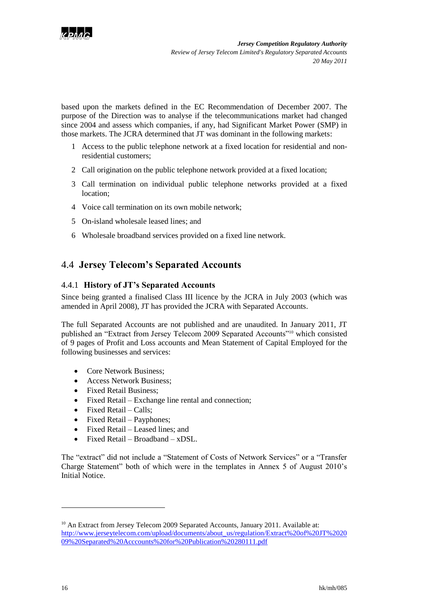

based upon the markets defined in the EC Recommendation of December 2007. The purpose of the Direction was to analyse if the telecommunications market had changed since 2004 and assess which companies, if any, had Significant Market Power (SMP) in those markets. The JCRA determined that JT was dominant in the following markets:

- 1 Access to the public telephone network at a fixed location for residential and nonresidential customers;
- 2 Call origination on the public telephone network provided at a fixed location;
- 3 Call termination on individual public telephone networks provided at a fixed location;
- 4 Voice call termination on its own mobile network;
- 5 On-island wholesale leased lines; and
- 6 Wholesale broadband services provided on a fixed line network.

## <span id="page-17-0"></span>4.4 **Jersey Telecom's Separated Accounts**

### 4.4.1 **History of JT's Separated Accounts**

Since being granted a finalised Class III licence by the JCRA in July 2003 (which was amended in April 2008), JT has provided the JCRA with Separated Accounts.

The full Separated Accounts are not published and are unaudited. In January 2011, JT published an "Extract from Jersey Telecom 2009 Separated Accounts"<sup>10</sup> which consisted of 9 pages of Profit and Loss accounts and Mean Statement of Capital Employed for the following businesses and services:

- Core Network Business:
- Access Network Business;
- Fixed Retail Business;
- Fixed Retail Exchange line rental and connection;
- $\bullet$  Fixed Retail Calls;
- Fixed Retail Payphones;
- Fixed Retail Leased lines; and
- $\bullet$  Fixed Retail Broadband xDSL.

The "extract" did not include a "Statement of Costs of Network Services" or a "Transfer Charge Statement" both of which were in the templates in Annex 5 of August 2010"s Initial Notice.

1

<sup>&</sup>lt;sup>10</sup> An Extract from Jersey Telecom 2009 Separated Accounts, January 2011. Available at: [http://www.jerseytelecom.com/upload/documents/about\\_us/regulation/Extract%20of%20JT%2020](http://www.jerseytelecom.com/upload/documents/about_us/regulation/Extract%20of%20JT%202009%20Separated%20Acccounts%20for%20Publication%20280111.pdf) [09%20Separated%20Acccounts%20for%20Publication%20280111.pdf](http://www.jerseytelecom.com/upload/documents/about_us/regulation/Extract%20of%20JT%202009%20Separated%20Acccounts%20for%20Publication%20280111.pdf)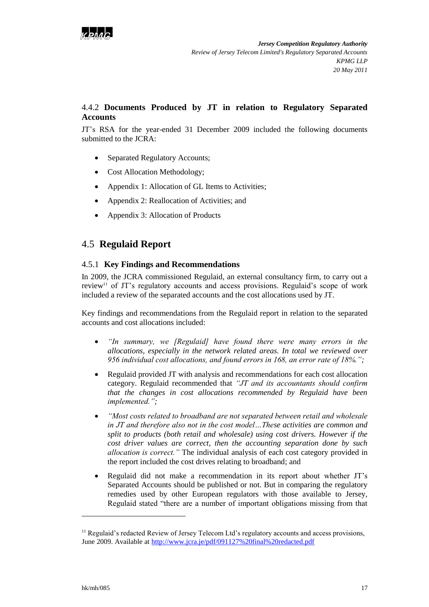

### 4.4.2 **Documents Produced by JT in relation to Regulatory Separated Accounts**

JT"s RSA for the year-ended 31 December 2009 included the following documents submitted to the JCRA:

- Separated Regulatory Accounts;
- Cost Allocation Methodology;
- Appendix 1: Allocation of GL Items to Activities;
- Appendix 2: Reallocation of Activities; and
- Appendix 3: Allocation of Products

## <span id="page-18-0"></span>4.5 **Regulaid Report**

### 4.5.1 **Key Findings and Recommendations**

In 2009, the JCRA commissioned Regulaid, an external consultancy firm, to carry out a review<sup>11</sup> of JT's regulatory accounts and access provisions. Regulaid's scope of work included a review of the separated accounts and the cost allocations used by JT.

Key findings and recommendations from the Regulaid report in relation to the separated accounts and cost allocations included:

- *"In summary, we [Regulaid] have found there were many errors in the allocations, especially in the network related areas. In total we reviewed over 956 individual cost allocations, and found errors in 168, an error rate of 18%.";*
- Regulaid provided JT with analysis and recommendations for each cost allocation category. Regulaid recommended that *"JT and its accountants should confirm that the changes in cost allocations recommended by Regulaid have been implemented.";*
- *"Most costs related to broadband are not separated between retail and wholesale in JT and therefore also not in the cost model…These activities are common and split to products (both retail and wholesale) using cost drivers. However if the cost driver values are correct, then the accounting separation done by such allocation is correct."* The individual analysis of each cost category provided in the report included the cost drives relating to broadband; and
- Regulaid did not make a recommendation in its report about whether JT"s Separated Accounts should be published or not. But in comparing the regulatory remedies used by other European regulators with those available to Jersey, Regulaid stated "there are a number of important obligations missing from that

 $\overline{a}$ 

 $<sup>11</sup>$  Regulaid's redacted Review of Jersey Telecom Ltd's regulatory accounts and access provisions,</sup> June 2009. Available at<http://www.jcra.je/pdf/091127%20final%20redacted.pdf>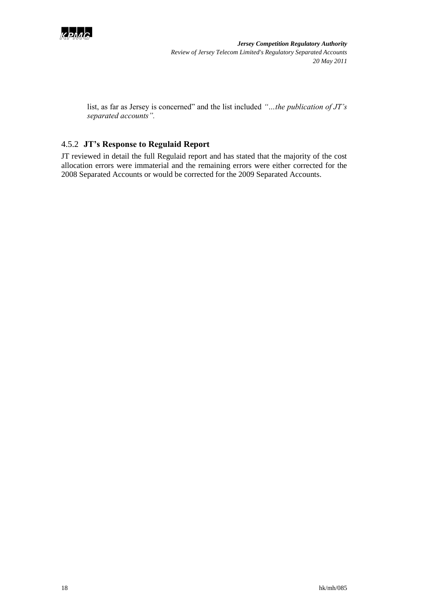

list, as far as Jersey is concerned" and the list included *"…the publication of JT's separated accounts".*

## 4.5.2 **JT's Response to Regulaid Report**

JT reviewed in detail the full Regulaid report and has stated that the majority of the cost allocation errors were immaterial and the remaining errors were either corrected for the 2008 Separated Accounts or would be corrected for the 2009 Separated Accounts.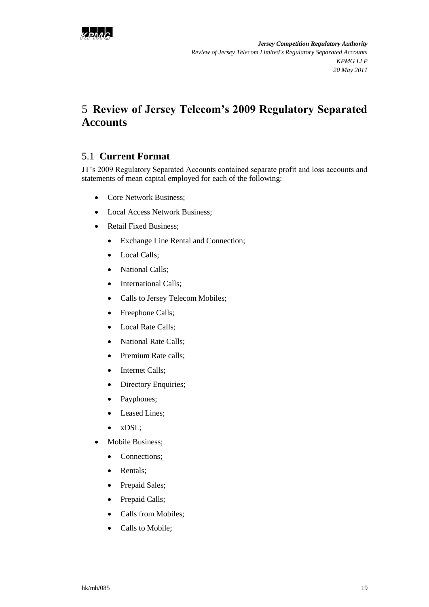

# <span id="page-20-0"></span>5 **Review of Jersey Telecom's 2009 Regulatory Separated Accounts**

## <span id="page-20-1"></span>5.1 **Current Format**

JT"s 2009 Regulatory Separated Accounts contained separate profit and loss accounts and statements of mean capital employed for each of the following:

- Core Network Business;
- Local Access Network Business;
- Retail Fixed Business:
	- Exchange Line Rental and Connection;
	- Local Calls;
	- National Calls;
	- International Calls;
	- Calls to Jersey Telecom Mobiles;
	- Freephone Calls;
	- Local Rate Calls;
	- National Rate Calls;
	- Premium Rate calls;
	- Internet Calls;
	- Directory Enquiries;
	- Payphones;
	- Leased Lines;
	- xDSL:
- Mobile Business;
	- Connections;
	- Rentals;
	- Prepaid Sales;
	- Prepaid Calls;
	- Calls from Mobiles;
	- Calls to Mobile;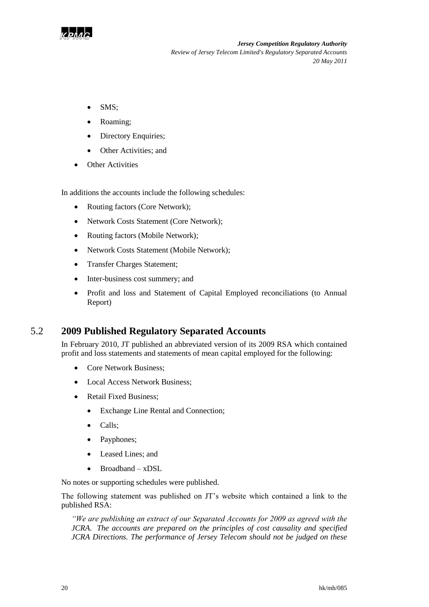

- SMS:
- Roaming;
- Directory Enquiries;
- Other Activities: and
- Other Activities

In additions the accounts include the following schedules:

- Routing factors (Core Network);
- Network Costs Statement (Core Network);
- Routing factors (Mobile Network);
- Network Costs Statement (Mobile Network);
- Transfer Charges Statement;
- Inter-business cost summery; and
- Profit and loss and Statement of Capital Employed reconciliations (to Annual Report)

## 5.2 **2009 Published Regulatory Separated Accounts**

<span id="page-21-0"></span>In February 2010, JT published an abbreviated version of its 2009 RSA which contained profit and loss statements and statements of mean capital employed for the following:

- Core Network Business;
- Local Access Network Business;
- Retail Fixed Business;
	- Exchange Line Rental and Connection;
	- Calls;
	- Payphones;
	- Leased Lines: and
	- Broadband xDSL

No notes or supporting schedules were published.

The following statement was published on JT"s website which contained a link to the published RSA:

*"We are publishing an extract of our Separated Accounts for 2009 as agreed with the JCRA. The accounts are prepared on the principles of cost causality and specified JCRA Directions. The performance of Jersey Telecom should not be judged on these*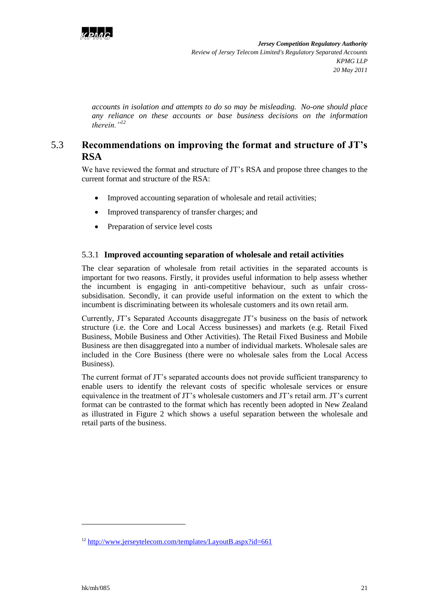

*accounts in isolation and attempts to do so may be misleading. No-one should place any reliance on these accounts or base business decisions on the information therein."<sup>12</sup>*

## 5.3 **Recommendations on improving the format and structure of JT's RSA**

<span id="page-22-0"></span>We have reviewed the format and structure of JT's RSA and propose three changes to the current format and structure of the RSA:

- Improved accounting separation of wholesale and retail activities;
- Improved transparency of transfer charges; and
- Preparation of service level costs

### 5.3.1 **Improved accounting separation of wholesale and retail activities**

The clear separation of wholesale from retail activities in the separated accounts is important for two reasons. Firstly, it provides useful information to help assess whether the incumbent is engaging in anti-competitive behaviour, such as unfair crosssubsidisation. Secondly, it can provide useful information on the extent to which the incumbent is discriminating between its wholesale customers and its own retail arm.

Currently, JT"s Separated Accounts disaggregate JT"s business on the basis of network structure (i.e. the Core and Local Access businesses) and markets (e.g. Retail Fixed Business, Mobile Business and Other Activities). The Retail Fixed Business and Mobile Business are then disaggregated into a number of individual markets. Wholesale sales are included in the Core Business (there were no wholesale sales from the Local Access Business).

The current format of JT"s separated accounts does not provide sufficient transparency to enable users to identify the relevant costs of specific wholesale services or ensure equivalence in the treatment of JT"s wholesale customers and JT"s retail arm. JT"s current format can be contrasted to the format which has recently been adopted in New Zealand as illustrated in [Figure 2](#page-23-0) which shows a useful separation between the wholesale and retail parts of the business.

l

<sup>12</sup> <http://www.jerseytelecom.com/templates/LayoutB.aspx?id=661>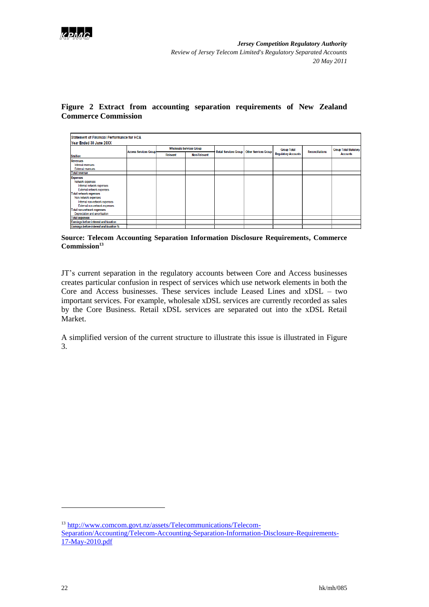

### <span id="page-23-0"></span>**Figure 2 Extract from accounting separation requirements of New Zealand Commerce Commission**

| Statement of Financial Performance for HCA<br>Year Ended 30 June 20XX                                                                                                                                                                                                                   |                               |                                 |                     |                              |                             |                            |                        |                              |
|-----------------------------------------------------------------------------------------------------------------------------------------------------------------------------------------------------------------------------------------------------------------------------------------|-------------------------------|---------------------------------|---------------------|------------------------------|-----------------------------|----------------------------|------------------------|------------------------------|
|                                                                                                                                                                                                                                                                                         |                               | <b>Wholesale Services Group</b> |                     |                              |                             | <b>Group Total</b>         |                        | <b>Group Total Statutory</b> |
| <b>Smillion</b>                                                                                                                                                                                                                                                                         | <b>Access Services Group-</b> | Relevant                        | <b>Non-Relevant</b> | <b>Retail Services Group</b> | <b>Other Services Group</b> | <b>Regulatory Accounts</b> | <b>Reconciliations</b> | <b>Accounts</b>              |
| <b>Revenues</b><br>Internal revenues<br><b>External revenues</b>                                                                                                                                                                                                                        |                               |                                 |                     |                              |                             |                            |                        |                              |
| <b>Total revenue</b>                                                                                                                                                                                                                                                                    |                               |                                 |                     |                              |                             |                            |                        |                              |
| <b>Expenses</b><br>Network expenses<br>Internal network expenses<br>External network expenses<br><b>Total network expenses</b><br>Non-network expenses<br>Internal non-network expenses<br>External non-network expenses<br>Total non-network expenses<br>Depreciation and amortisation |                               |                                 |                     |                              |                             |                            |                        |                              |
| <b>Total expenses</b>                                                                                                                                                                                                                                                                   |                               |                                 |                     |                              |                             |                            |                        |                              |
| Earnings before interest and taxation                                                                                                                                                                                                                                                   |                               |                                 |                     |                              |                             |                            |                        |                              |
| Earnings before interest and taxation %                                                                                                                                                                                                                                                 |                               |                                 |                     |                              |                             |                            |                        |                              |

**Source: Telecom Accounting Separation Information Disclosure Requirements, Commerce Commission<sup>13</sup>**

JT"s current separation in the regulatory accounts between Core and Access businesses creates particular confusion in respect of services which use network elements in both the Core and Access businesses. These services include Leased Lines and xDSL – two important services. For example, wholesale xDSL services are currently recorded as sales by the Core Business. Retail xDSL services are separated out into the xDSL Retail Market.

A simplified version of the current structure to illustrate this issue is illustrated in Figure 3.

1

<sup>&</sup>lt;sup>13</sup> [http://www.comcom.govt.nz/assets/Telecommunications/Telecom-](http://www.comcom.govt.nz/assets/Telecommunications/Telecom-Separation/Accounting/Telecom-Accounting-Separation-Information-Disclosure-Requirements-17-May-2010.pdf)[Separation/Accounting/Telecom-Accounting-Separation-Information-Disclosure-Requirements-](http://www.comcom.govt.nz/assets/Telecommunications/Telecom-Separation/Accounting/Telecom-Accounting-Separation-Information-Disclosure-Requirements-17-May-2010.pdf)[17-May-2010.pdf](http://www.comcom.govt.nz/assets/Telecommunications/Telecom-Separation/Accounting/Telecom-Accounting-Separation-Information-Disclosure-Requirements-17-May-2010.pdf)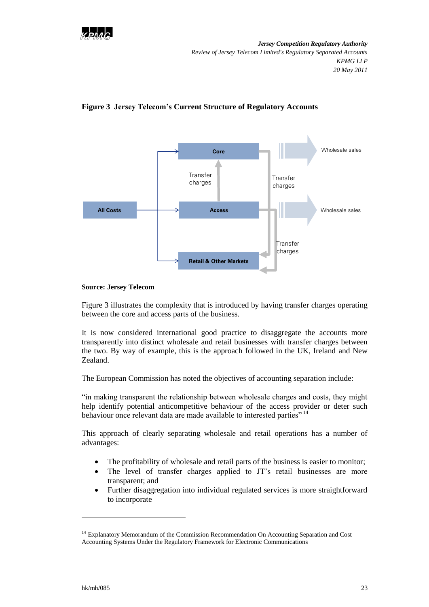



#### **Figure 3 Jersey Telecom's Current Structure of Regulatory Accounts**

#### **Source: Jersey Telecom**

Figure 3 illustrates the complexity that is introduced by having transfer charges operating between the core and access parts of the business.

It is now considered international good practice to disaggregate the accounts more transparently into distinct wholesale and retail businesses with transfer charges between the two. By way of example, this is the approach followed in the UK, Ireland and New Zealand.

The European Commission has noted the objectives of accounting separation include:

"in making transparent the relationship between wholesale charges and costs, they might help identify potential anticompetitive behaviour of the access provider or deter such behaviour once relevant data are made available to interested parties"<sup>14</sup>

This approach of clearly separating wholesale and retail operations has a number of advantages:

- The profitability of wholesale and retail parts of the business is easier to monitor;
- The level of transfer charges applied to JT"s retail businesses are more transparent; and
- Further disaggregation into individual regulated services is more straightforward to incorporate

l

<sup>&</sup>lt;sup>14</sup> Explanatory Memorandum of the Commission Recommendation On Accounting Separation and Cost Accounting Systems Under the Regulatory Framework for Electronic Communications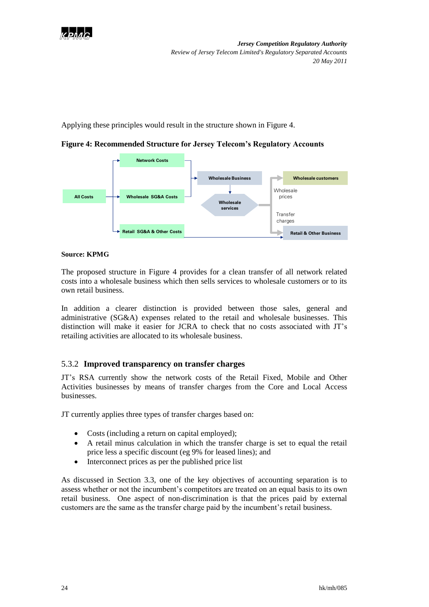

Applying these principles would result in the structure shown in [Figure 4.](#page-25-0)

<span id="page-25-0"></span>**Figure 4: Recommended Structure for Jersey Telecom's Regulatory Accounts**



#### **Source: KPMG**

The proposed structure in [Figure 4](#page-25-0) provides for a clean transfer of all network related costs into a wholesale business which then sells services to wholesale customers or to its own retail business.

In addition a clearer distinction is provided between those sales, general and administrative (SG&A) expenses related to the retail and wholesale businesses. This distinction will make it easier for JCRA to check that no costs associated with JT"s retailing activities are allocated to its wholesale business.

### 5.3.2 **Improved transparency on transfer charges**

JT"s RSA currently show the network costs of the Retail Fixed, Mobile and Other Activities businesses by means of transfer charges from the Core and Local Access businesses.

JT currently applies three types of transfer charges based on:

- Costs (including a return on capital employed);
- A retail minus calculation in which the transfer charge is set to equal the retail price less a specific discount (eg 9% for leased lines); and
- Interconnect prices as per the published price list

As discussed in Section 3.3, one of the key objectives of accounting separation is to assess whether or not the incumbent"s competitors are treated on an equal basis to its own retail business. One aspect of non-discrimination is that the prices paid by external customers are the same as the transfer charge paid by the incumbent"s retail business.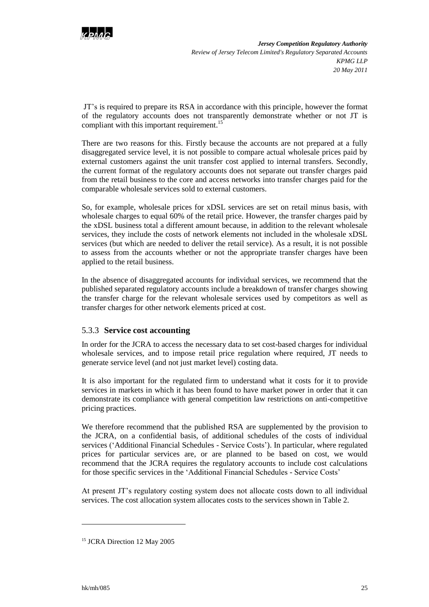

JT"s is required to prepare its RSA in accordance with this principle, however the format of the regulatory accounts does not transparently demonstrate whether or not JT is compliant with this important requirement.<sup>15</sup>

There are two reasons for this. Firstly because the accounts are not prepared at a fully disaggregated service level, it is not possible to compare actual wholesale prices paid by external customers against the unit transfer cost applied to internal transfers. Secondly, the current format of the regulatory accounts does not separate out transfer charges paid from the retail business to the core and access networks into transfer charges paid for the comparable wholesale services sold to external customers.

So, for example, wholesale prices for xDSL services are set on retail minus basis, with wholesale charges to equal 60% of the retail price. However, the transfer charges paid by the xDSL business total a different amount because, in addition to the relevant wholesale services, they include the costs of network elements not included in the wholesale xDSL services (but which are needed to deliver the retail service). As a result, it is not possible to assess from the accounts whether or not the appropriate transfer charges have been applied to the retail business.

In the absence of disaggregated accounts for individual services, we recommend that the published separated regulatory accounts include a breakdown of transfer charges showing the transfer charge for the relevant wholesale services used by competitors as well as transfer charges for other network elements priced at cost.

### 5.3.3 **Service cost accounting**

In order for the JCRA to access the necessary data to set cost-based charges for individual wholesale services, and to impose retail price regulation where required, JT needs to generate service level (and not just market level) costing data.

It is also important for the regulated firm to understand what it costs for it to provide services in markets in which it has been found to have market power in order that it can demonstrate its compliance with general competition law restrictions on anti-competitive pricing practices.

We therefore recommend that the published RSA are supplemented by the provision to the JCRA, on a confidential basis, of additional schedules of the costs of individual services ('Additional Financial Schedules - Service Costs'). In particular, where regulated prices for particular services are, or are planned to be based on cost, we would recommend that the JCRA requires the regulatory accounts to include cost calculations for those specific services in the "Additional Financial Schedules - Service Costs"

At present JT"s regulatory costing system does not allocate costs down to all individual services. The cost allocation system allocates costs to the services shown in [Table 2.](#page-27-0)

l

<sup>&</sup>lt;sup>15</sup> JCRA Direction 12 May 2005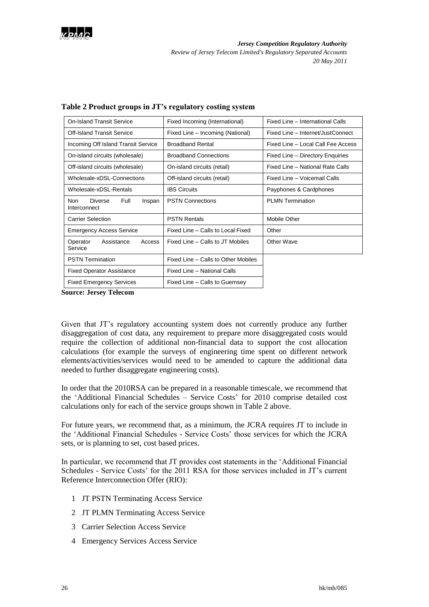

| <b>On-Island Transit Service</b>                 | Fixed Incoming (International)      | Fixed Line - International Calls   |  |  |
|--------------------------------------------------|-------------------------------------|------------------------------------|--|--|
| Off-Island Transit Service                       | Fixed Line – Incoming (National)    | Fixed Line - Internet/JustConnect  |  |  |
| Incoming Off Island Transit Service              | <b>Broadband Rental</b>             | Fixed Line - Local Call Fee Access |  |  |
| On-island circuits (wholesale)                   | <b>Broadband Connections</b>        | Fixed Line - Directory Enquiries   |  |  |
| Off-island circuits (wholesale)                  | On-island circuits (retail)         | Fixed Line - National Rate Calls   |  |  |
| Wholesale-xDSL-Connections                       | Off-island circuits (retail)        | Fixed Line - Voicemail Calls       |  |  |
| Wholesale-xDSL-Rentals                           | <b>IBS Circuits</b>                 | Payphones & Cardphones             |  |  |
| Non<br>Diverse<br>Full<br>Inspan<br>Interconnect | <b>PSTN Connections</b>             | <b>PLMN Termination</b>            |  |  |
| <b>Carrier Selection</b>                         | <b>PSTN Rentals</b>                 | <b>Mobile Other</b>                |  |  |
| <b>Emergency Access Service</b>                  | Fixed Line - Calls to Local Fixed   | Other                              |  |  |
| Operator<br>Assistance<br>Access<br>Service      | Fixed Line – Calls to JT Mobiles    | Other Wave                         |  |  |
| <b>PSTN Termination</b>                          | Fixed Line - Calls to Other Mobiles |                                    |  |  |
| <b>Fixed Operator Assistance</b>                 | Fixed Line - National Calls         |                                    |  |  |
| <b>Fixed Emergency Services</b>                  | Fixed Line - Calls to Guernsey      |                                    |  |  |

#### <span id="page-27-0"></span>**Table 2 Product groups in JT's regulatory costing system**

**Source: Jersey Telecom**

Given that JT"s regulatory accounting system does not currently produce any further disaggregation of cost data, any requirement to prepare more disaggregated costs would require the collection of additional non-financial data to support the cost allocation calculations (for example the surveys of engineering time spent on different network elements/activities/services would need to be amended to capture the additional data needed to further disaggregate engineering costs).

In order that the 2010RSA can be prepared in a reasonable timescale, we recommend that the 'Additional Financial Schedules - Service Costs' for 2010 comprise detailed cost calculations only for each of the service groups shown in [Table 2](#page-27-0) above.

For future years, we recommend that, as a minimum, the JCRA requires JT to include in the "Additional Financial Schedules - Service Costs" those services for which the JCRA sets, or is planning to set, cost based prices.

In particular, we recommend that JT provides cost statements in the "Additional Financial Schedules - Service Costs' for the 2011 RSA for those services included in JT's current Reference Interconnection Offer (RIO):

- 1 JT PSTN Terminating Access Service
- 2 JT PLMN Terminating Access Service
- 3 Carrier Selection Access Service
- 4 Emergency Services Access Service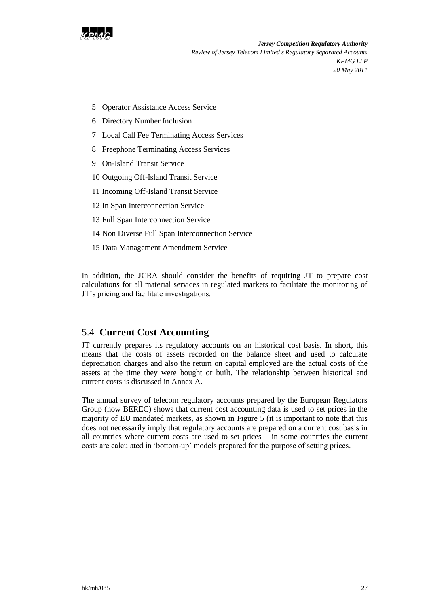

- 5 Operator Assistance Access Service
- 6 Directory Number Inclusion
- 7 Local Call Fee Terminating Access Services
- 8 Freephone Terminating Access Services
- 9 On-Island Transit Service
- 10 Outgoing Off-Island Transit Service
- 11 Incoming Off-Island Transit Service
- 12 In Span Interconnection Service
- 13 Full Span Interconnection Service
- 14 Non Diverse Full Span Interconnection Service
- 15 Data Management Amendment Service

In addition, the JCRA should consider the benefits of requiring JT to prepare cost calculations for all material services in regulated markets to facilitate the monitoring of JT"s pricing and facilitate investigations.

## <span id="page-28-0"></span>5.4 **Current Cost Accounting**

JT currently prepares its regulatory accounts on an historical cost basis. In short, this means that the costs of assets recorded on the balance sheet and used to calculate depreciation charges and also the return on capital employed are the actual costs of the assets at the time they were bought or built. The relationship between historical and current costs is discussed in Annex A.

The annual survey of telecom regulatory accounts prepared by the European Regulators Group (now BEREC) shows that current cost accounting data is used to set prices in the majority of EU mandated markets, as shown in [Figure 5](#page-29-0) (it is important to note that this does not necessarily imply that regulatory accounts are prepared on a current cost basis in all countries where current costs are used to set prices – in some countries the current costs are calculated in "bottom-up" models prepared for the purpose of setting prices.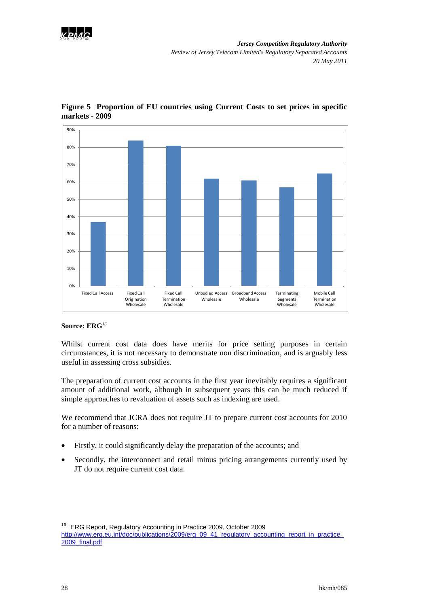



<span id="page-29-0"></span>**Figure 5 Proportion of EU countries using Current Costs to set prices in specific markets - 2009**

#### **Source: ERG***<sup>16</sup>*

Whilst current cost data does have merits for price setting purposes in certain circumstances, it is not necessary to demonstrate non discrimination, and is arguably less useful in assessing cross subsidies.

The preparation of current cost accounts in the first year inevitably requires a significant amount of additional work, although in subsequent years this can be much reduced if simple approaches to revaluation of assets such as indexing are used.

We recommend that JCRA does not require JT to prepare current cost accounts for 2010 for a number of reasons:

- Firstly, it could significantly delay the preparation of the accounts; and
- Secondly, the interconnect and retail minus pricing arrangements currently used by JT do not require current cost data.

1

<sup>16</sup> ERG Report, Regulatory Accounting in Practice 2009, October 2009 [http://www.erg.eu.int/doc/publications/2009/erg\\_09\\_41\\_regulatory\\_accounting\\_report\\_in\\_practice\\_](http://www.erg.eu.int/doc/publications/2009/erg_09_41_regulatory_accounting_report_in_practice_2009_final.pdf) [2009\\_final.pdf](http://www.erg.eu.int/doc/publications/2009/erg_09_41_regulatory_accounting_report_in_practice_2009_final.pdf)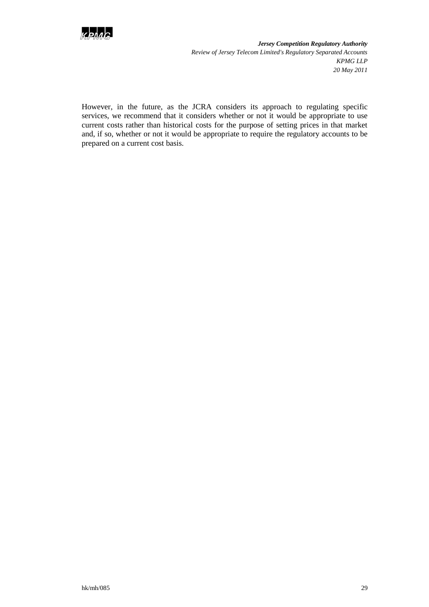

However, in the future, as the JCRA considers its approach to regulating specific services, we recommend that it considers whether or not it would be appropriate to use current costs rather than historical costs for the purpose of setting prices in that market and, if so, whether or not it would be appropriate to require the regulatory accounts to be prepared on a current cost basis.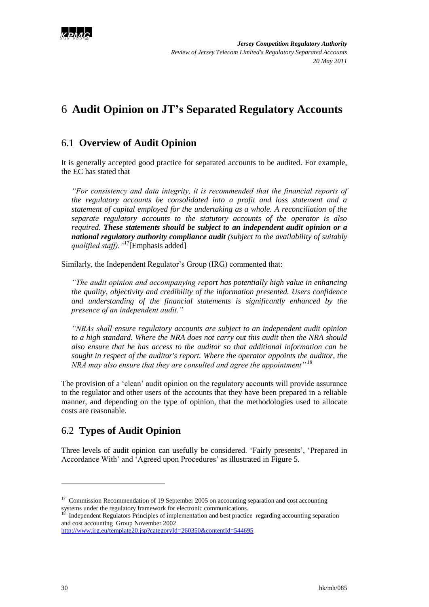

# <span id="page-31-0"></span>6 **Audit Opinion on JT's Separated Regulatory Accounts**

## <span id="page-31-1"></span>6.1 **Overview of Audit Opinion**

It is generally accepted good practice for separated accounts to be audited. For example, the EC has stated that

*"For consistency and data integrity, it is recommended that the financial reports of the regulatory accounts be consolidated into a profit and loss statement and a statement of capital employed for the undertaking as a whole. A reconciliation of the separate regulatory accounts to the statutory accounts of the operator is also required. These statements should be subject to an independent audit opinion or a national regulatory authority compliance audit (subject to the availability of suitably qualified staff)."*<sup>17</sup>[Emphasis added]

Similarly, the Independent Regulator's Group (IRG) commented that:

*"The audit opinion and accompanying report has potentially high value in enhancing the quality, objectivity and credibility of the information presented. Users confidence and understanding of the financial statements is significantly enhanced by the presence of an independent audit."*

*"NRAs shall ensure regulatory accounts are subject to an independent audit opinion to a high standard. Where the NRA does not carry out this audit then the NRA should also ensure that he has access to the auditor so that additional information can be sought in respect of the auditor's report. Where the operator appoints the auditor, the NRA may also ensure that they are consulted and agree the appointment" <sup>18</sup>*

The provision of a "clean" audit opinion on the regulatory accounts will provide assurance to the regulator and other users of the accounts that they have been prepared in a reliable manner, and depending on the type of opinion, that the methodologies used to allocate costs are reasonable.

## <span id="page-31-2"></span>6.2 **Types of Audit Opinion**

Three levels of audit opinion can usefully be considered. "Fairly presents", "Prepared in Accordance With' and 'Agreed upon Procedures' as illustrated in Figure 5.

<u>.</u>

<sup>&</sup>lt;sup>17</sup> Commission Recommendation of 19 September 2005 on accounting separation and cost accounting systems under the regulatory framework for electronic communications.<br><sup>18</sup> Independent Regulators Principles of implementation and best practice regarding accounting separation

and cost accounting Group November 2002

<http://www.irg.eu/template20.jsp?categoryId=260350&contentId=544695>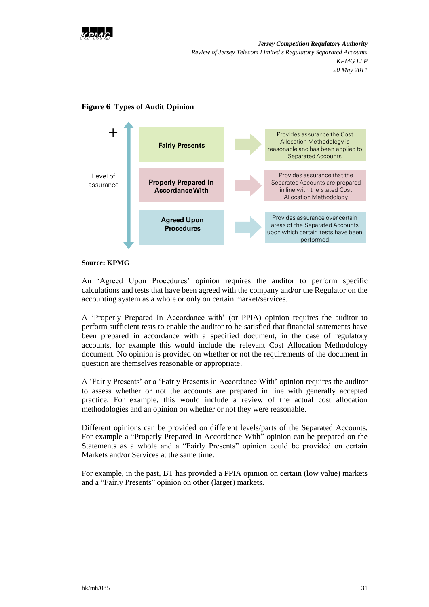



### **Figure 6 Types of Audit Opinion**

#### **Source: KPMG**

An "Agreed Upon Procedures" opinion requires the auditor to perform specific calculations and tests that have been agreed with the company and/or the Regulator on the accounting system as a whole or only on certain market/services.

A "Properly Prepared In Accordance with" (or PPIA) opinion requires the auditor to perform sufficient tests to enable the auditor to be satisfied that financial statements have been prepared in accordance with a specified document, in the case of regulatory accounts, for example this would include the relevant Cost Allocation Methodology document. No opinion is provided on whether or not the requirements of the document in question are themselves reasonable or appropriate.

A "Fairly Presents" or a "Fairly Presents in Accordance With" opinion requires the auditor to assess whether or not the accounts are prepared in line with generally accepted practice. For example, this would include a review of the actual cost allocation methodologies and an opinion on whether or not they were reasonable.

Different opinions can be provided on different levels/parts of the Separated Accounts. For example a "Properly Prepared In Accordance With" opinion can be prepared on the Statements as a whole and a "Fairly Presents" opinion could be provided on certain Markets and/or Services at the same time.

For example, in the past, BT has provided a PPIA opinion on certain (low value) markets and a "Fairly Presents" opinion on other (larger) markets.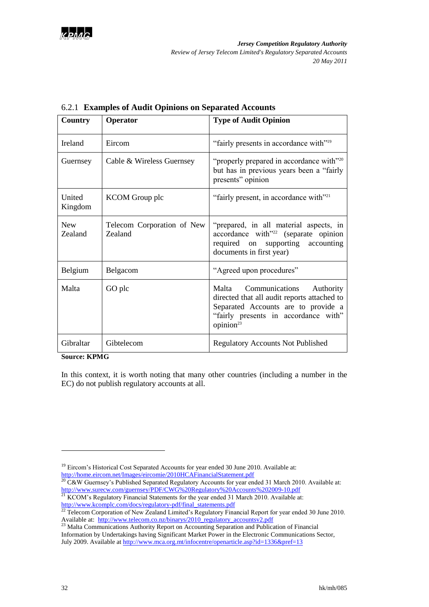

| Country                      | Operator                              | <b>Type of Audit Opinion</b>                                                                                                                                                             |
|------------------------------|---------------------------------------|------------------------------------------------------------------------------------------------------------------------------------------------------------------------------------------|
| <b>Ireland</b>               | Eircom                                | "fairly presents in accordance with" <sup>19</sup>                                                                                                                                       |
| Guernsey                     | Cable & Wireless Guernsey             | "properly prepared in accordance with" <sup>20</sup><br>but has in previous years been a "fairly"<br>presents" opinion                                                                   |
| United<br>Kingdom            | <b>KCOM</b> Group plc                 | "fairly present, in accordance with" <sup>21</sup>                                                                                                                                       |
| <b>New</b><br><b>Zealand</b> | Telecom Corporation of New<br>Zealand | "prepared, in all material aspects, in<br>accordance with <sup>"22</sup> (separate opinion<br>required on supporting accounting<br>documents in first year)                              |
| Belgium                      | Belgacom                              | "Agreed upon procedures"                                                                                                                                                                 |
| Malta                        | GO plc                                | Malta Communications<br>Authority<br>directed that all audit reports attached to<br>Separated Accounts are to provide a<br>"fairly presents in accordance with"<br>opinion <sup>23</sup> |
| Gibraltar                    | Gibtelecom                            | <b>Regulatory Accounts Not Published</b>                                                                                                                                                 |

### 6.2.1 **Examples of Audit Opinions on Separated Accounts**

#### **Source: KPMG**

In this context, it is worth noting that many other countries (including a number in the EC) do not publish regulatory accounts at all.

-

<sup>&</sup>lt;sup>19</sup> Eircom's Historical Cost Separated Accounts for year ended 30 June 2010. Available at: <http://home.eircom.net/Images/eircomie/2010HCAFinancialStatement.pdf>

<sup>&</sup>lt;sup>20</sup> C&W Guernsey's Published Separated Regulatory Accounts for year ended 31 March 2010. Available at: <http://www.surecw.com/guernsey/PDF/CWG%20Regulatory%20Accounts%202009-10.pdf>

 $21$  KCOM's Regulatory Financial Statements for the year ended 31 March 2010. Available at: http://www.kcomple.com/docs/regulatory-pdf/final\_statements.pdf<br>
<sup>22</sup> Telecom Comoration 15 M = 7

<sup>22</sup> Telecom Corporation of New Zealand Limited"s Regulatory Financial Report for year ended 30 June 2010. Available at: [http://www.telecom.co.nz/binarys/2010\\_regulatory\\_accountsv2.pdf](http://www.telecom.co.nz/binarys/2010_regulatory_accountsv2.pdf)

<sup>&</sup>lt;sup>23</sup> Malta Communications Authority Report on Accounting Separation and Publication of Financial Information by Undertakings having Significant Market Power in the Electronic Communications Sector, July 2009. Available at<http://www.mca.org.mt/infocentre/openarticle.asp?id=1336&pref=13>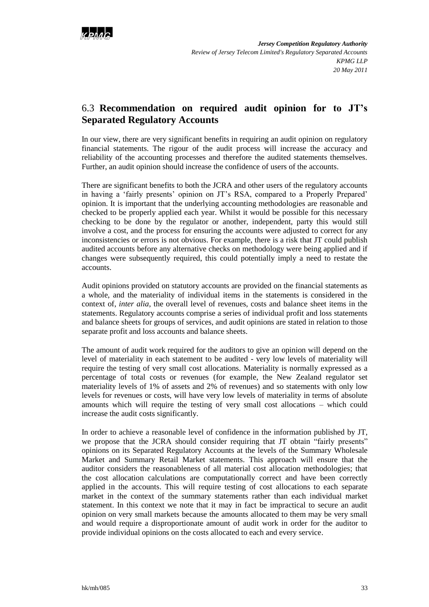

## <span id="page-34-0"></span>6.3 **Recommendation on required audit opinion for to JT's Separated Regulatory Accounts**

In our view, there are very significant benefits in requiring an audit opinion on regulatory financial statements. The rigour of the audit process will increase the accuracy and reliability of the accounting processes and therefore the audited statements themselves. Further, an audit opinion should increase the confidence of users of the accounts.

There are significant benefits to both the JCRA and other users of the regulatory accounts in having a 'fairly presents' opinion on JT's RSA, compared to a Properly Prepared' opinion. It is important that the underlying accounting methodologies are reasonable and checked to be properly applied each year. Whilst it would be possible for this necessary checking to be done by the regulator or another, independent, party this would still involve a cost, and the process for ensuring the accounts were adjusted to correct for any inconsistencies or errors is not obvious. For example, there is a risk that JT could publish audited accounts before any alternative checks on methodology were being applied and if changes were subsequently required, this could potentially imply a need to restate the accounts.

Audit opinions provided on statutory accounts are provided on the financial statements as a whole, and the materiality of individual items in the statements is considered in the context of, *inter alia*, the overall level of revenues, costs and balance sheet items in the statements. Regulatory accounts comprise a series of individual profit and loss statements and balance sheets for groups of services, and audit opinions are stated in relation to those separate profit and loss accounts and balance sheets.

The amount of audit work required for the auditors to give an opinion will depend on the level of materiality in each statement to be audited - very low levels of materiality will require the testing of very small cost allocations. Materiality is normally expressed as a percentage of total costs or revenues (for example, the New Zealand regulator set materiality levels of 1% of assets and 2% of revenues) and so statements with only low levels for revenues or costs, will have very low levels of materiality in terms of absolute amounts which will require the testing of very small cost allocations – which could increase the audit costs significantly.

In order to achieve a reasonable level of confidence in the information published by JT, we propose that the JCRA should consider requiring that JT obtain "fairly presents" opinions on its Separated Regulatory Accounts at the levels of the Summary Wholesale Market and Summary Retail Market statements. This approach will ensure that the auditor considers the reasonableness of all material cost allocation methodologies; that the cost allocation calculations are computationally correct and have been correctly applied in the accounts. This will require testing of cost allocations to each separate market in the context of the summary statements rather than each individual market statement. In this context we note that it may in fact be impractical to secure an audit opinion on very small markets because the amounts allocated to them may be very small and would require a disproportionate amount of audit work in order for the auditor to provide individual opinions on the costs allocated to each and every service.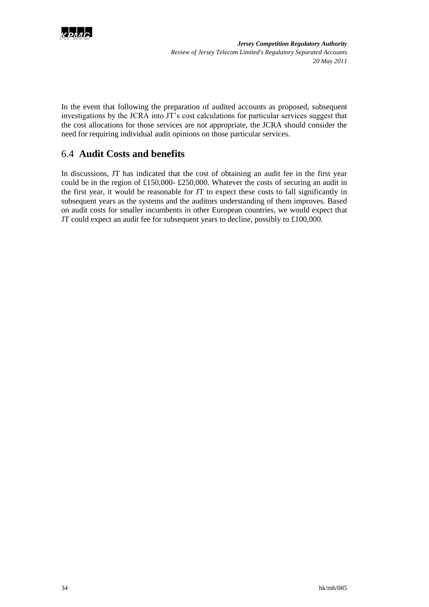

In the event that following the preparation of audited accounts as proposed, subsequent investigations by the JCRA into JT"s cost calculations for particular services suggest that the cost allocations for those services are not appropriate, the JCRA should consider the need for requiring individual audit opinions on those particular services.

## <span id="page-35-0"></span>6.4 **Audit Costs and benefits**

In discussions, JT has indicated that the cost of obtaining an audit fee in the first year could be in the region of £150,000- £250,000. Whatever the costs of securing an audit in the first year, it would be reasonable for JT to expect these costs to fall significantly in subsequent years as the systems and the auditors understanding of them improves. Based on audit costs for smaller incumbents in other European countries, we would expect that JT could expect an audit fee for subsequent years to decline, possibly to £100,000.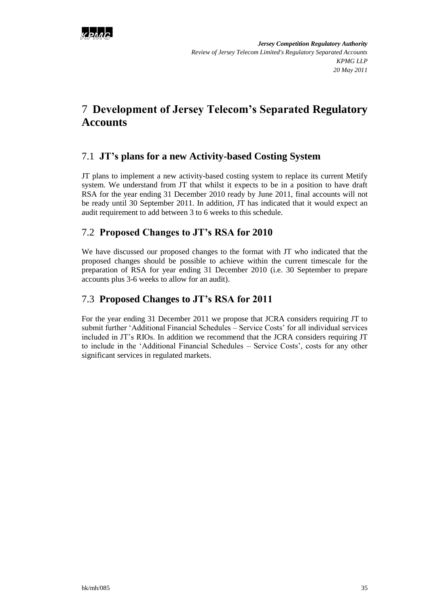

# <span id="page-36-0"></span>7 **Development of Jersey Telecom's Separated Regulatory Accounts**

## <span id="page-36-1"></span>7.1 **JT's plans for a new Activity-based Costing System**

JT plans to implement a new activity-based costing system to replace its current Metify system. We understand from JT that whilst it expects to be in a position to have draft RSA for the year ending 31 December 2010 ready by June 2011, final accounts will not be ready until 30 September 2011. In addition, JT has indicated that it would expect an audit requirement to add between 3 to 6 weeks to this schedule.

## <span id="page-36-2"></span>7.2 **Proposed Changes to JT's RSA for 2010**

We have discussed our proposed changes to the format with JT who indicated that the proposed changes should be possible to achieve within the current timescale for the preparation of RSA for year ending 31 December 2010 (i.e. 30 September to prepare accounts plus 3-6 weeks to allow for an audit).

## <span id="page-36-3"></span>7.3 **Proposed Changes to JT's RSA for 2011**

For the year ending 31 December 2011 we propose that JCRA considers requiring JT to submit further 'Additional Financial Schedules – Service Costs' for all individual services included in JT"s RIOs. In addition we recommend that the JCRA considers requiring JT to include in the "Additional Financial Schedules – Service Costs", costs for any other significant services in regulated markets.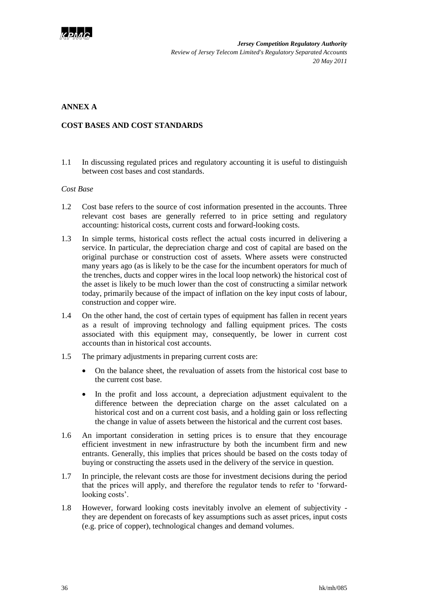

### **ANNEX A**

#### **COST BASES AND COST STANDARDS**

1.1 In discussing regulated prices and regulatory accounting it is useful to distinguish between cost bases and cost standards.

#### *Cost Base*

- 1.2 Cost base refers to the source of cost information presented in the accounts. Three relevant cost bases are generally referred to in price setting and regulatory accounting: historical costs, current costs and forward-looking costs.
- 1.3 In simple terms, historical costs reflect the actual costs incurred in delivering a service. In particular, the depreciation charge and cost of capital are based on the original purchase or construction cost of assets. Where assets were constructed many years ago (as is likely to be the case for the incumbent operators for much of the trenches, ducts and copper wires in the local loop network) the historical cost of the asset is likely to be much lower than the cost of constructing a similar network today, primarily because of the impact of inflation on the key input costs of labour, construction and copper wire.
- 1.4 On the other hand, the cost of certain types of equipment has fallen in recent years as a result of improving technology and falling equipment prices. The costs associated with this equipment may, consequently, be lower in current cost accounts than in historical cost accounts.
- 1.5 The primary adjustments in preparing current costs are:
	- On the balance sheet, the revaluation of assets from the historical cost base to the current cost base.
	- In the profit and loss account, a depreciation adjustment equivalent to the difference between the depreciation charge on the asset calculated on a historical cost and on a current cost basis, and a holding gain or loss reflecting the change in value of assets between the historical and the current cost bases.
- 1.6 An important consideration in setting prices is to ensure that they encourage efficient investment in new infrastructure by both the incumbent firm and new entrants. Generally, this implies that prices should be based on the costs today of buying or constructing the assets used in the delivery of the service in question.
- 1.7 In principle, the relevant costs are those for investment decisions during the period that the prices will apply, and therefore the regulator tends to refer to "forwardlooking costs'.
- 1.8 However, forward looking costs inevitably involve an element of subjectivity they are dependent on forecasts of key assumptions such as asset prices, input costs (e.g. price of copper), technological changes and demand volumes.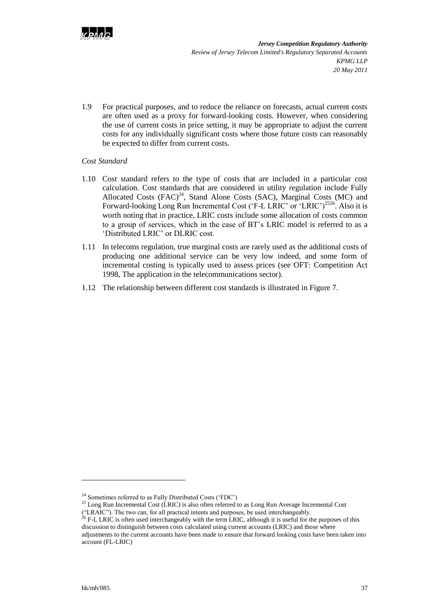

1.9 For practical purposes, and to reduce the reliance on forecasts, actual current costs are often used as a proxy for forward-looking costs. However, when considering the use of current costs in price setting, it may be appropriate to adjust the current costs for any individually significant costs where those future costs can reasonably be expected to differ from current costs.

#### *Cost Standard*

- 1.10 Cost standard refers to the type of costs that are included in a particular cost calculation. Cost standards that are considered in utility regulation include Fully Allocated Costs  $(FAC)^{24}$ , Stand Alone Costs (SAC), Marginal Costs (MC) and Forward-looking Long Run Incremental Cost ('F-L LRIC' or 'LRIC')<sup>2526</sup>. Also it is worth noting that in practice, LRIC costs include some allocation of costs common to a group of services, which in the case of BT"s LRIC model is referred to as a "Distributed LRIC" or DLRIC cost.
- 1.11 In telecoms regulation, true marginal costs are rarely used as the additional costs of producing one additional service can be very low indeed, and some form of incremental costing is typically used to assess prices (see OFT: Competition Act 1998, The application in the telecommunications sector).
- 1.12 The relationship between different cost standards is illustrated i[n Figure 7.](#page-39-0)

 $\overline{a}$ 

<sup>&</sup>lt;sup>24</sup> Sometimes referred to as Fully Distributed Costs ('FDC')

<sup>&</sup>lt;sup>25</sup> Long Run Incremental Cost (LRIC) is also often referred to as Long Run Average Incremental Cost ("LRAIC"). The two can, for all practical intents and purposes, be used interchangeably.

<sup>&</sup>lt;sup>26</sup> F-L LRIC is often used interchangeably with the term LRIC, although it is useful for the purposes of this discussion to distinguish between costs calculated using current accounts (LRIC) and those where adjustments to the current accounts have been made to ensure that forward looking costs have been taken into account (FL-LRIC)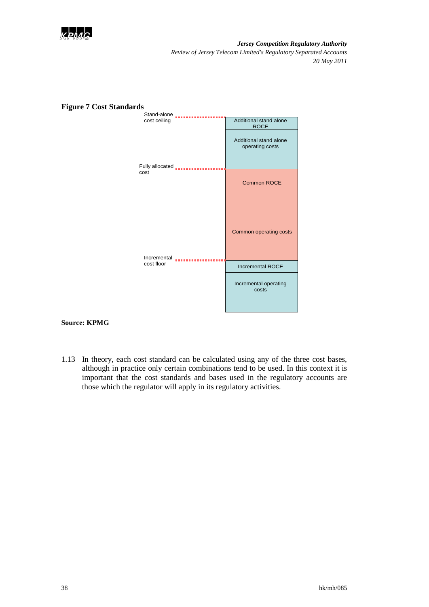



### <span id="page-39-0"></span>**Figure 7 Cost Standards**

#### **Source: KPMG**

1.13 In theory, each cost standard can be calculated using any of the three cost bases, although in practice only certain combinations tend to be used. In this context it is important that the cost standards and bases used in the regulatory accounts are those which the regulator will apply in its regulatory activities.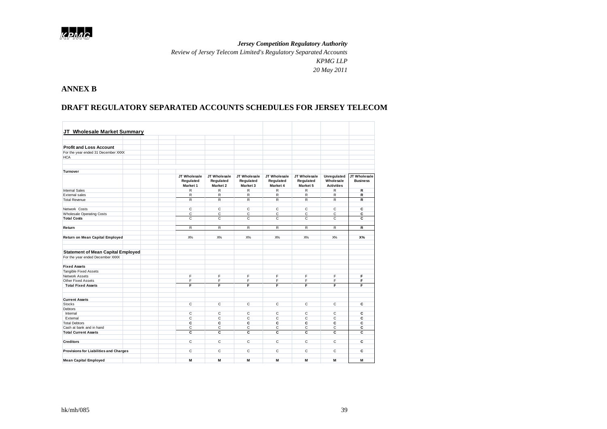

*Review of Jersey Telecom Limited's Regulatory Separated Accounts*

*KPMG LLP*

*20 May 2011*

### **ANNEX B**

### **DRAFT REGULATORY SEPARATED ACCOUNTS SCHEDULES FOR JERSEY TELECOM**

| JT Wholesale Market Summary                   |                                       |                                              |                                       |                                       |                                       |                                               |                                 |
|-----------------------------------------------|---------------------------------------|----------------------------------------------|---------------------------------------|---------------------------------------|---------------------------------------|-----------------------------------------------|---------------------------------|
|                                               |                                       |                                              |                                       |                                       |                                       |                                               |                                 |
|                                               |                                       |                                              |                                       |                                       |                                       |                                               |                                 |
| <b>Profit and Loss Account</b>                |                                       |                                              |                                       |                                       |                                       |                                               |                                 |
|                                               |                                       |                                              |                                       |                                       |                                       |                                               |                                 |
| For the year ended 31 December XXXX           |                                       |                                              |                                       |                                       |                                       |                                               |                                 |
| <b>HCA</b>                                    |                                       |                                              |                                       |                                       |                                       |                                               |                                 |
|                                               |                                       |                                              |                                       |                                       |                                       |                                               |                                 |
| <b>Turnover</b>                               |                                       |                                              |                                       |                                       |                                       |                                               |                                 |
|                                               | JT Wholesale<br>Regulated<br>Market 1 | JT Wholesale<br>Regulated<br><b>Market 2</b> | JT Wholesale<br>Regulated<br>Market 3 | JT Wholesale<br>Regulated<br>Market 4 | JT Wholesale<br>Regulated<br>Market 5 | Unregulated<br>Wholesale<br><b>Activities</b> | JT Wholesale<br><b>Business</b> |
| <b>Internal Sales</b>                         | $\mathsf{R}$                          | R                                            | $\mathsf{R}$                          | R                                     | R                                     | R                                             | R                               |
| External sales                                | $\overline{\mathsf{R}}$               | $\overline{R}$                               | $\overline{R}$                        | $\overline{R}$                        | $\overline{R}$                        | $\overline{R}$                                | $\overline{R}$                  |
| <b>Total Revenue</b>                          | $\mathsf{R}$                          | $\mathsf{R}$                                 | $\mathsf{R}$                          | R                                     | R                                     | R                                             | R                               |
| Network Costs                                 | $\overline{c}$                        | $\overline{c}$                               | $\overline{c}$                        | $\overline{c}$                        | $\overline{c}$                        | $\overline{c}$                                | $\overline{c}$                  |
| <b>Wholesale Operating Costs</b>              | $\overline{c}$                        | C.                                           | C                                     | $\overline{c}$                        | $\overline{c}$                        | $\mathsf{C}$                                  | c                               |
| <b>Total Costs</b>                            | C                                     | C                                            | C                                     | C                                     | C                                     | $\mathsf{C}$                                  | C                               |
|                                               |                                       |                                              |                                       |                                       |                                       |                                               |                                 |
| Return                                        | R                                     | $\mathsf{R}$                                 | $\overline{R}$                        | R                                     | $\overline{R}$                        | R                                             | R                               |
| Return on Mean Capital Employed               | $X\%$                                 | $X\%$                                        | $X\%$                                 | $X\%$                                 | $X\%$                                 | $X\%$                                         | X%                              |
|                                               |                                       |                                              |                                       |                                       |                                       |                                               |                                 |
| <b>Statement of Mean Capital Employed</b>     |                                       |                                              |                                       |                                       |                                       |                                               |                                 |
| For the year ended December XXXX              |                                       |                                              |                                       |                                       |                                       |                                               |                                 |
| <b>Fixed Assets</b>                           |                                       |                                              |                                       |                                       |                                       |                                               |                                 |
| <b>Tangible Fixed Assets</b>                  |                                       |                                              |                                       |                                       |                                       |                                               |                                 |
| Network Assets                                | F                                     | F                                            | F                                     | F                                     | F                                     | F                                             | F                               |
| Other Fixed Assets                            | F                                     | F                                            | F                                     | F                                     | F                                     | F                                             | F                               |
| <b>Total Fixed Assets</b>                     | F                                     | F                                            | F                                     | F                                     | F                                     | F                                             | F                               |
|                                               |                                       |                                              |                                       |                                       |                                       |                                               |                                 |
| <b>Current Assets</b>                         |                                       |                                              |                                       |                                       |                                       |                                               |                                 |
| <b>Stocks</b>                                 | C                                     | C                                            | C                                     | C                                     | C                                     | $\mathsf{C}$                                  | c                               |
| <b>Debtors</b>                                |                                       |                                              |                                       |                                       |                                       |                                               |                                 |
| Internal                                      | С                                     | C                                            | C                                     | с                                     | C                                     | C                                             | С                               |
| External                                      | C                                     | C                                            | C                                     | C                                     | C                                     | $\mathsf{C}$                                  | c                               |
| <b>Total Debtors</b>                          | C                                     | C                                            | c                                     | C                                     | C                                     | c                                             | C                               |
| Cash at bank and in hand                      | $\overline{c}$                        | $\overline{c}$                               | $\overline{c}$                        | $\overline{c}$                        | $\overline{c}$                        | $\overline{c}$                                | c                               |
| <b>Total Current Assets</b>                   | C                                     | C                                            | c                                     | C                                     | C                                     | c                                             | C                               |
| <b>Creditors</b>                              | $\overline{c}$                        | $\overline{c}$                               | $\overline{c}$                        | $\overline{c}$                        | $\overline{c}$                        | $\overline{c}$                                | c                               |
| <b>Provisions for Liabilities and Charges</b> | $\mathsf{C}$                          | C                                            | C                                     | C                                     | C                                     | $\mathsf{C}$                                  | c                               |
|                                               |                                       |                                              |                                       |                                       |                                       |                                               |                                 |
| <b>Mean Capital Employed</b>                  | M                                     | M                                            | M                                     | M                                     | M                                     | M                                             | М                               |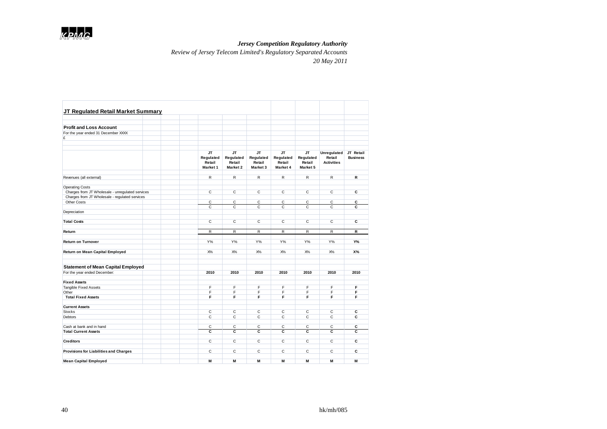

*Review of Jersey Telecom Limited's Regulatory Separated Accounts*

| JT Regulated Retail Market Summary                                                                 |                                        |                                        |                                        |                                 |                                 |                             |                 |
|----------------------------------------------------------------------------------------------------|----------------------------------------|----------------------------------------|----------------------------------------|---------------------------------|---------------------------------|-----------------------------|-----------------|
|                                                                                                    |                                        |                                        |                                        |                                 |                                 |                             |                 |
| <b>Profit and Loss Account</b>                                                                     |                                        |                                        |                                        |                                 |                                 |                             |                 |
| For the year ended 31 December XXXX                                                                |                                        |                                        |                                        |                                 |                                 |                             |                 |
| £                                                                                                  |                                        |                                        |                                        |                                 |                                 |                             |                 |
|                                                                                                    |                                        |                                        |                                        |                                 |                                 |                             |                 |
|                                                                                                    | JТ                                     | JТ                                     | JT                                     | JT                              | JТ                              | <b>Unregulated</b>          | JT Retail       |
|                                                                                                    | Regulated<br>Retail<br><b>Market 1</b> | Regulated<br>Retail<br><b>Market 2</b> | Regulated<br>Retail<br><b>Market 3</b> | Regulated<br>Retail<br>Market 4 | Regulated<br>Retail<br>Market 5 | Retail<br><b>Activities</b> | <b>Business</b> |
| Revenues (all extemal)                                                                             | R                                      | R                                      | R                                      | R                               | R                               | R                           | R               |
|                                                                                                    |                                        |                                        |                                        |                                 |                                 |                             |                 |
| <b>Operating Costs</b>                                                                             |                                        |                                        |                                        |                                 |                                 |                             |                 |
| Charges from JT Wholesale - unregulated services<br>Charges from JT Wholesale - regulated services | C                                      | C                                      | C                                      | C                               | C                               | C                           | C               |
| Other Costs                                                                                        | С                                      | С                                      | С                                      | C                               | с                               | С                           | С               |
|                                                                                                    | C                                      | $\mathsf{C}$                           | $\mathsf{C}$                           | $\mathsf{C}$                    | C                               | $\mathsf{C}$                | C               |
| Depreciation                                                                                       |                                        |                                        |                                        |                                 |                                 |                             |                 |
|                                                                                                    |                                        |                                        |                                        |                                 |                                 |                             |                 |
| <b>Total Costs</b>                                                                                 | $\overline{c}$                         | $\overline{c}$                         | $\overline{c}$                         | $\overline{c}$                  | $\overline{c}$                  | $\overline{c}$              | C               |
|                                                                                                    |                                        |                                        |                                        |                                 |                                 |                             |                 |
| Return                                                                                             | R                                      | R                                      | R                                      | R                               | R                               | R                           | R               |
| <b>Return on Turnover</b>                                                                          | $Y\%$                                  | $Y\%$                                  | $Y\%$                                  | $Y\%$                           | $Y\%$                           | $Y\%$                       | Y%              |
| Return on Mean Capital Employed                                                                    | $X\%$                                  | $X\%$                                  | $X\%$                                  | $X\%$                           | $X\%$                           | $X\%$                       | <b>X%</b>       |
| <b>Statement of Mean Capital Employed</b>                                                          |                                        |                                        |                                        |                                 |                                 |                             |                 |
|                                                                                                    |                                        |                                        |                                        |                                 |                                 |                             |                 |
| For the year ended December:                                                                       | 2010                                   | 2010                                   | 2010                                   | 2010                            | 2010                            | 2010                        | 2010            |
| <b>Fixed Assets</b>                                                                                |                                        |                                        |                                        |                                 |                                 |                             |                 |
| Tangible Fixed Assets                                                                              | F                                      | F                                      | F                                      | F                               | F                               | F                           | F               |
| Other                                                                                              | F                                      | E                                      | F                                      | F                               | F                               | F                           | F               |
| <b>Total Fixed Assets</b>                                                                          | F                                      | F                                      | F                                      | F                               | F                               | F                           | F               |
| <b>Current Assets</b>                                                                              |                                        |                                        |                                        |                                 |                                 |                             |                 |
| <b>Stocks</b>                                                                                      | $\overline{c}$                         | $\overline{c}$                         | $\overline{c}$                         | $\overline{c}$                  | $\overline{c}$                  | $\overline{c}$              | $\overline{c}$  |
| <b>Debtors</b>                                                                                     | $\mathbf{C}$                           | C                                      | C                                      | $\mathsf{C}$                    | C                               | $\mathsf{C}$                | C               |
| Cash at bank and in hand                                                                           | С                                      | С                                      | С                                      | C                               | С                               | С                           | С               |
| <b>Total Current Assets</b>                                                                        | c                                      | c                                      | c                                      | c                               | c                               | c                           | C               |
|                                                                                                    |                                        |                                        |                                        |                                 |                                 |                             |                 |
| <b>Creditors</b>                                                                                   | C                                      | C                                      | C                                      | $\mathsf{C}$                    | C                               | C                           | C               |
| <b>Provisions for Liabilities and Charges</b>                                                      | $\overline{c}$                         | $\overline{c}$                         | C                                      | $\overline{c}$                  | C                               | C                           | C               |
| <b>Mean Capital Employed</b>                                                                       | M                                      | M                                      | M                                      | M                               | M                               | M                           | M               |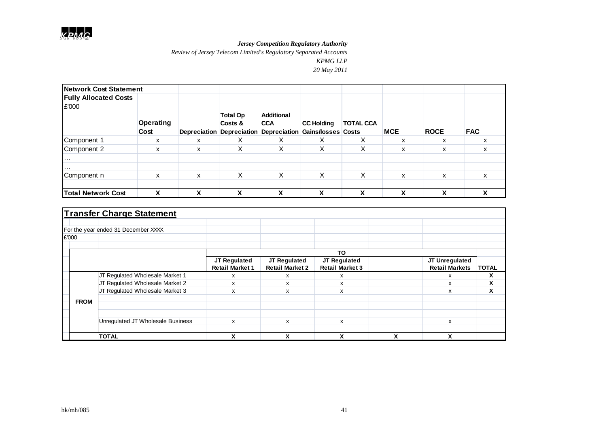*Review of Jersey Telecom Limited's Regulatory Separated Accounts*

*KPMG LLP*

| <b>Network Cost Statement</b> |                          |   |                                                                      |                                 |                                         |                   |            |             |            |
|-------------------------------|--------------------------|---|----------------------------------------------------------------------|---------------------------------|-----------------------------------------|-------------------|------------|-------------|------------|
| <b>Fully Allocated Costs</b>  |                          |   |                                                                      |                                 |                                         |                   |            |             |            |
| £'000                         |                          |   |                                                                      |                                 |                                         |                   |            |             |            |
|                               | <b>Operating</b><br>Cost |   | <b>Total Op</b><br>Costs &<br>Depreciation Depreciation Depreciation | <b>Additional</b><br><b>CCA</b> | <b>CC Holding</b><br>Gains/losses Costs | <b>TOTAL CCA</b>  | <b>MCE</b> | <b>ROCE</b> | <b>FAC</b> |
| Component 1                   | х                        | x | X                                                                    | X                               | X                                       | v<br>⋏            | x          | x           | x          |
| Component 2                   | X                        | x | X                                                                    | X                               | X                                       | $\checkmark$<br>∧ | X          | X           | X          |
| $\cdots$<br>$\cdots$          |                          |   |                                                                      |                                 |                                         |                   |            |             |            |
| Component n                   | X                        | x | X                                                                    | X                               | X                                       | X                 | X          | X           | X          |
| <b>Total Network Cost</b>     | χ                        | ν | v<br>Λ                                                               | v                               | v<br>Λ                                  | ν                 | x          | ν           | χ          |

|             | <b>Transfer Charge Statement</b>    |                        |                        |                        |   |                       |                      |
|-------------|-------------------------------------|------------------------|------------------------|------------------------|---|-----------------------|----------------------|
|             |                                     |                        |                        |                        |   |                       |                      |
|             | For the year ended 31 December XXXX |                        |                        |                        |   |                       |                      |
| £'000       |                                     |                        |                        |                        |   |                       |                      |
|             |                                     |                        |                        |                        |   |                       |                      |
|             |                                     |                        |                        | TO                     |   |                       |                      |
|             |                                     | <b>JT Regulated</b>    | JT Regulated           | JT Regulated           |   | JT Unregulated        |                      |
|             |                                     | <b>Retail Market 1</b> | <b>Retail Market 2</b> | <b>Retail Market 3</b> |   | <b>Retail Markets</b> | <b>TOTAL</b>         |
|             | JT Regulated Wholesale Market 1     | x                      | x                      | x                      |   | х                     | X                    |
|             | JT Regulated Wholesale Market 2     | x                      | x                      | x                      |   | x                     | $\ddot{\phantom{1}}$ |
|             | JT Regulated Wholesale Market 3     | x                      | x                      | x                      |   | X                     | v<br>ᄉ               |
| <b>FROM</b> |                                     |                        |                        |                        |   |                       |                      |
|             |                                     |                        |                        |                        |   |                       |                      |
|             |                                     |                        |                        |                        |   |                       |                      |
|             | Unregulated JT Wholesale Business   | x                      | x                      | x                      |   | x                     |                      |
|             |                                     |                        |                        |                        |   |                       |                      |
|             | <b>TOTAL</b>                        | χ                      | x                      | x                      | x | X                     |                      |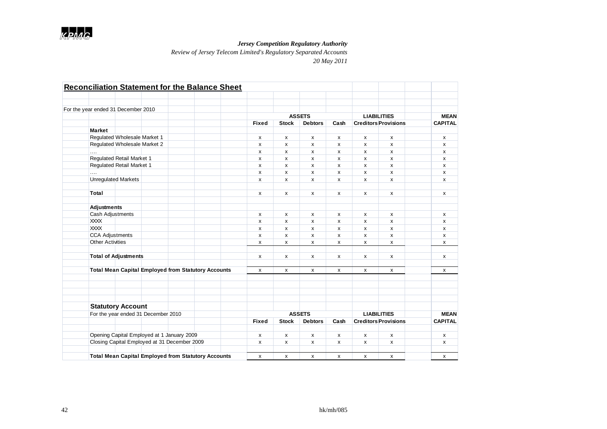

*Review of Jersey Telecom Limited's Regulatory Separated Accounts*

|                         |                                              |  | <b>Reconciliation Statement for the Balance Sheet</b>      |              |                    |                |              |              |                             |                |
|-------------------------|----------------------------------------------|--|------------------------------------------------------------|--------------|--------------------|----------------|--------------|--------------|-----------------------------|----------------|
|                         |                                              |  |                                                            |              |                    |                |              |              |                             |                |
|                         | For the year ended 31 December 2010          |  |                                                            |              |                    |                |              |              |                             |                |
|                         |                                              |  |                                                            |              |                    | <b>ASSETS</b>  |              |              | <b>LIABILITIES</b>          | <b>MEAN</b>    |
|                         |                                              |  |                                                            | <b>Fixed</b> | <b>Stock</b>       | <b>Debtors</b> | Cash         |              | <b>Creditors Provisions</b> | <b>CAPITAL</b> |
| <b>Market</b>           |                                              |  |                                                            |              |                    |                |              |              |                             |                |
|                         | Regulated Wholesale Market 1                 |  |                                                            | x            | x                  | x              | x            | x            | x                           | x              |
|                         | Regulated Wholesale Market 2                 |  |                                                            | x            | x                  | x              | x            | x            | x                           | x              |
| .                       |                                              |  |                                                            | x            | X                  | x              | $\mathsf{x}$ | X            | X                           | x              |
|                         | Regulated Retail Market 1                    |  |                                                            | x            | x                  | x              | x            | $\mathsf{x}$ | x                           | x              |
|                         | Regulated Retail Market 1                    |  |                                                            | x            | x                  | x              | x            | x            | x                           | x              |
| .                       |                                              |  |                                                            | x            | x                  | x              | x            | x            | x                           | x              |
|                         | <b>Unregulated Markets</b>                   |  |                                                            | x            | x                  | x              | x            | X            | x                           | x              |
|                         |                                              |  |                                                            |              |                    |                |              |              |                             |                |
| Total                   |                                              |  |                                                            | x            | x                  | x              | x            | x            | x                           | x              |
| Adjustments             |                                              |  |                                                            |              |                    |                |              |              |                             |                |
| Cash Adjustments        |                                              |  |                                                            | x            | x                  | x              | x            | x            | x                           | x              |
| <b>XXXX</b>             |                                              |  |                                                            | x            | x                  | x              | x            | $\mathsf{x}$ | x                           | x              |
| <b>XXXX</b>             |                                              |  |                                                            | x            | x                  | x              | x            | x            | x                           | x              |
| <b>CCA Adjustments</b>  |                                              |  |                                                            | x            | x                  | x              | x            | x            | x                           | x              |
| <b>Other Activities</b> |                                              |  |                                                            | x            | x                  | x              | x            | x            | x                           | x              |
|                         | <b>Total of Adjustments</b>                  |  |                                                            | x            | x                  | x              | x            | x            | x                           | x              |
|                         |                                              |  |                                                            |              |                    |                |              |              |                             |                |
|                         |                                              |  | <b>Total Mean Capital Employed from Statutory Accounts</b> | X            | X                  | x              | x            | x            | x                           | x              |
|                         |                                              |  |                                                            |              |                    |                |              |              |                             |                |
|                         |                                              |  |                                                            |              |                    |                |              |              |                             |                |
|                         |                                              |  |                                                            |              |                    |                |              |              |                             |                |
|                         | <b>Statutory Account</b>                     |  |                                                            |              |                    |                |              |              |                             |                |
|                         | For the year ended 31 December 2010          |  |                                                            |              |                    | <b>ASSETS</b>  |              |              | <b>LIABILITIES</b>          | <b>MEAN</b>    |
|                         |                                              |  |                                                            | <b>Fixed</b> | <b>Stock</b>       | <b>Debtors</b> | Cash         |              | <b>Creditors Provisions</b> | <b>CAPITAL</b> |
|                         | Opening Capital Employed at 1 January 2009   |  |                                                            | х            | x                  | x              | x            | x            | x                           | x              |
|                         | Closing Capital Employed at 31 December 2009 |  |                                                            | x            | X                  | x              | $\mathsf{x}$ | X            | x                           | x              |
|                         |                                              |  |                                                            |              |                    |                |              |              |                             |                |
|                         |                                              |  | <b>Total Mean Capital Employed from Statutory Accounts</b> | X            | $\pmb{\mathsf{x}}$ | X              | x            | x            | x                           | x              |